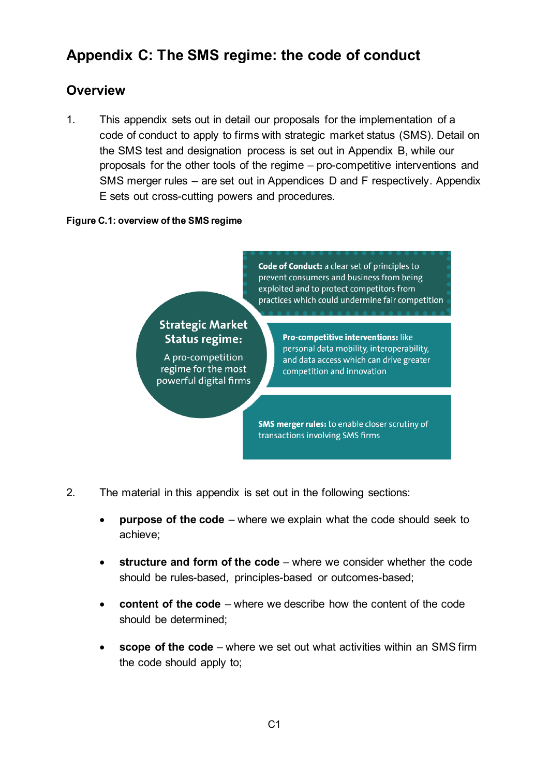# **Appendix C: The SMS regime: the code of conduct**

# **Overview**

1. This appendix sets out in detail our proposals for the implementation of a code of conduct to apply to firms with strategic market status (SMS). Detail on the SMS test and designation process is set out in Appendix B, while our proposals for the other tools of the regime – pro-competitive interventions and SMS merger rules – are set out in Appendices D and F respectively. Appendix E sets out cross-cutting powers and procedures.

#### **Figure C.1: overview of the SMS regime**

Code of Conduct: a clear set of principles to prevent consumers and business from being exploited and to protect competitors from practices which could undermine fair competition

# **Strategic Market Status regime:**

A pro-competition regime for the most powerful digital firms Pro-competitive interventions: like personal data mobility, interoperability, and data access which can drive greater competition and innovation

**SMS merger rules:** to enable closer scrutiny of transactions involving SMS firms

- 2. The material in this appendix is set out in the following sections:
	- **purpose of the code** where we explain what the code should seek to achieve;
	- **structure and form of the code** where we consider whether the code should be rules-based, principles-based or outcomes-based;
	- **content of the code**  where we describe how the content of the code should be determined;
	- **scope of the code** where we set out what activities within an SMS firm the code should apply to;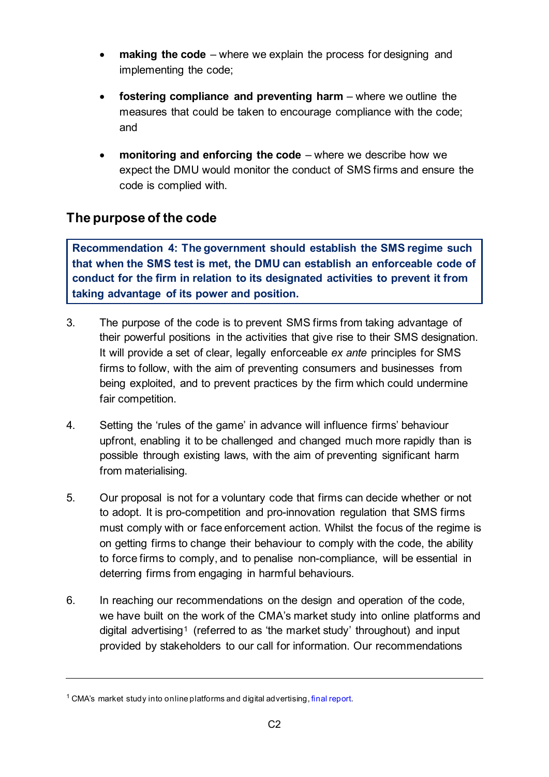- **making the code** where we explain the process for designing and implementing the code;
- **fostering compliance and preventing harm** where we outline the measures that could be taken to encourage compliance with the code; and
- **monitoring and enforcing the code**  where we describe how we expect the DMU would monitor the conduct of SMS firms and ensure the code is complied with.

# **The purpose of the code**

**Recommendation 4: The government should establish the SMS regime such that when the SMS test is met, the DMU can establish an enforceable code of conduct for the firm in relation to its designated activities to prevent it from taking advantage of its power and position.**

- 3. The purpose of the code is to prevent SMS firms from taking advantage of their powerful positions in the activities that give rise to their SMS designation. It will provide a set of clear, legally enforceable *ex ante* principles for SMS firms to follow, with the aim of preventing consumers and businesses from being exploited, and to prevent practices by the firm which could undermine fair competition.
- 4. Setting the 'rules of the game' in advance will influence firms' behaviour upfront, enabling it to be challenged and changed much more rapidly than is possible through existing laws, with the aim of preventing significant harm from materialising.
- 5. Our proposal is not for a voluntary code that firms can decide whether or not to adopt. It is pro-competition and pro-innovation regulation that SMS firms must comply with or face enforcement action. Whilst the focus of the regime is on getting firms to change their behaviour to comply with the code, the ability to force firms to comply, and to penalise non-compliance, will be essential in deterring firms from engaging in harmful behaviours.
- 6. In reaching our recommendations on the design and operation of the code, we have built on the work of the CMA's market study into online platforms and digital advertising<sup>[1](#page-1-0)</sup> (referred to as 'the market study' throughout) and input provided by stakeholders to our call for information. Our recommendations

<span id="page-1-0"></span><sup>&</sup>lt;sup>1</sup> CMA's market study into online platforms and digital advertising, [final report.](https://assets.publishing.service.gov.uk/media/5efc57ed3a6f4023d242ed56/Final_report_1_July_2020_.pdf)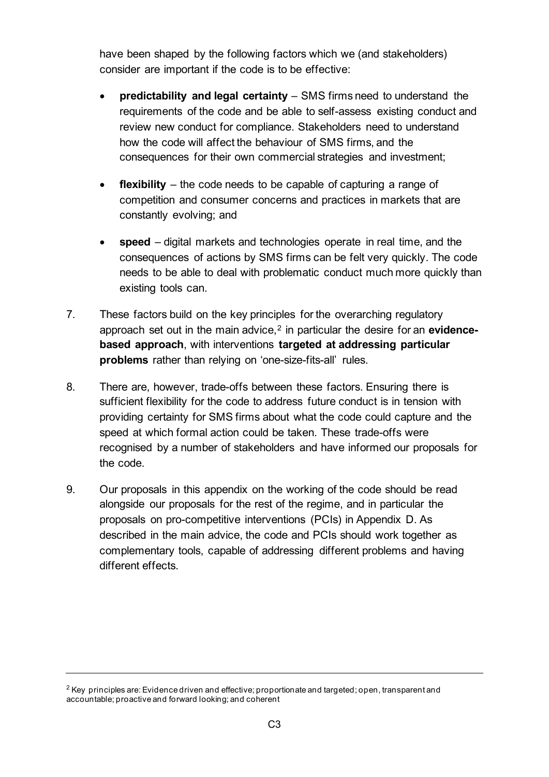have been shaped by the following factors which we (and stakeholders) consider are important if the code is to be effective:

- **predictability and legal certainty** SMS firms need to understand the requirements of the code and be able to self-assess existing conduct and review new conduct for compliance. Stakeholders need to understand how the code will affect the behaviour of SMS firms, and the consequences for their own commercial strategies and investment;
- **flexibility**  the code needs to be capable of capturing a range of competition and consumer concerns and practices in markets that are constantly evolving; and
- **speed**  digital markets and technologies operate in real time, and the consequences of actions by SMS firms can be felt very quickly. The code needs to be able to deal with problematic conduct much more quickly than existing tools can.
- 7. These factors build on the key principles for the overarching regulatory approach set out in the main advice,<sup>[2](#page-2-0)</sup> in particular the desire for an **evidencebased approach**, with interventions **targeted at addressing particular problems** rather than relying on 'one-size-fits-all' rules.
- 8. There are, however, trade-offs between these factors. Ensuring there is sufficient flexibility for the code to address future conduct is in tension with providing certainty for SMS firms about what the code could capture and the speed at which formal action could be taken. These trade-offs were recognised by a number of stakeholders and have informed our proposals for the code.
- 9. Our proposals in this appendix on the working of the code should be read alongside our proposals for the rest of the regime, and in particular the proposals on pro-competitive interventions (PCIs) in Appendix D. As described in the main advice, the code and PCIs should work together as complementary tools, capable of addressing different problems and having different effects.

<span id="page-2-0"></span> $2$  Key principles are: Evidence driven and effective; proportionate and targeted; open, transparent and accountable; proactive and forward looking; and coherent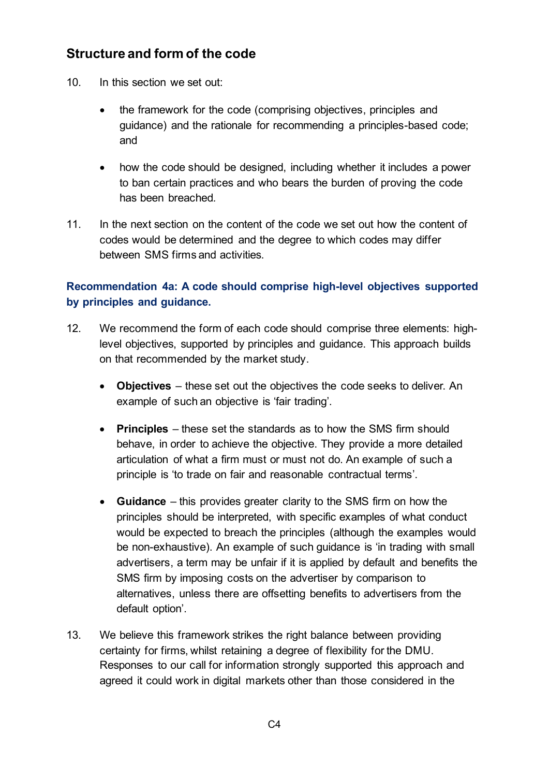# **Structure and form of the code**

- 10. In this section we set out:
	- the framework for the code (comprising objectives, principles and guidance) and the rationale for recommending a principles-based code; and
	- how the code should be designed, including whether it includes a power to ban certain practices and who bears the burden of proving the code has been breached*.*
- 11. In the next section on the content of the code we set out how the content of codes would be determined and the degree to which codes may differ between SMS firms and activities.

## **Recommendation 4a: A code should comprise high-level objectives supported by principles and guidance.**

- 12. We recommend the form of each code should comprise three elements: highlevel objectives, supported by principles and guidance. This approach builds on that recommended by the market study.
	- **Objectives** these set out the objectives the code seeks to deliver. An example of such an objective is 'fair trading'.
	- **Principles** these set the standards as to how the SMS firm should behave, in order to achieve the objective. They provide a more detailed articulation of what a firm must or must not do. An example of such a principle is 'to trade on fair and reasonable contractual terms'.
	- **Guidance** this provides greater clarity to the SMS firm on how the principles should be interpreted, with specific examples of what conduct would be expected to breach the principles (although the examples would be non-exhaustive). An example of such guidance is 'in trading with small advertisers, a term may be unfair if it is applied by default and benefits the SMS firm by imposing costs on the advertiser by comparison to alternatives, unless there are offsetting benefits to advertisers from the default option'.
- 13. We believe this framework strikes the right balance between providing certainty for firms, whilst retaining a degree of flexibility for the DMU. Responses to our call for information strongly supported this approach and agreed it could work in digital markets other than those considered in the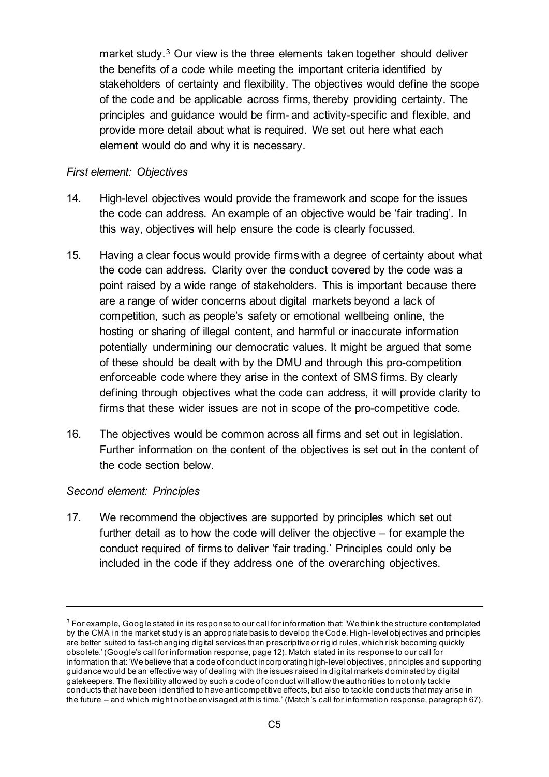market study.<sup>[3](#page-4-0)</sup> Our view is the three elements taken together should deliver the benefits of a code while meeting the important criteria identified by stakeholders of certainty and flexibility. The objectives would define the scope of the code and be applicable across firms, thereby providing certainty. The principles and guidance would be firm- and activity-specific and flexible, and provide more detail about what is required. We set out here what each element would do and why it is necessary.

#### *First element: Objectives*

- 14. High-level objectives would provide the framework and scope for the issues the code can address. An example of an objective would be 'fair trading'. In this way, objectives will help ensure the code is clearly focussed.
- 15. Having a clear focus would provide firms with a degree of certainty about what the code can address. Clarity over the conduct covered by the code was a point raised by a wide range of stakeholders. This is important because there are a range of wider concerns about digital markets beyond a lack of competition, such as people's safety or emotional wellbeing online, the hosting or sharing of illegal content, and harmful or inaccurate information potentially undermining our democratic values. It might be argued that some of these should be dealt with by the DMU and through this pro-competition enforceable code where they arise in the context of SMS firms. By clearly defining through objectives what the code can address, it will provide clarity to firms that these wider issues are not in scope of the pro-competitive code.
- 16. The objectives would be common across all firms and set out in legislation. Further information on the content of the objectives is set out in the content of the code section below.

#### *Second element: Principles*

17. We recommend the objectives are supported by principles which set out further detail as to how the code will deliver the objective – for example the conduct required of firms to deliver 'fair trading.' Principles could only be included in the code if they address one of the overarching objectives.

<span id="page-4-0"></span> $3$  For example, Google stated in its response to our call for information that: 'We think the structure contemplated by the CMA in the market study is an appropriate basis to develop the Code. High-level objectives and principles are better suited to fast-changing digital services than prescriptive or rigid rules, which risk becoming quickly obsolete.' (Google's call for information response, page 12). Match stated in its response to our call for information that: 'We believe that a code of conduct incorporating high-level objectives, principles and supporting guidance would be an effective way of dealing with the issues raised in digital markets dominated by digital gatekeepers. The flexibility allowed by such a code of conduct will allow the authorities to not only tackle conducts that have been identified to have anticompetitive effects, but also to tackle conducts that may arise in the future – and which might not be envisaged at this time.' (Match's call for information response, paragraph 67).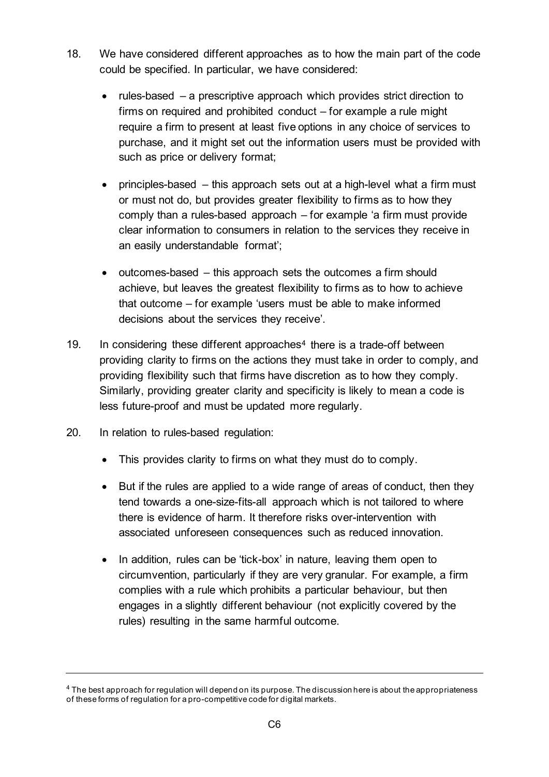- 18. We have considered different approaches as to how the main part of the code could be specified. In particular, we have considered:
	- rules-based a prescriptive approach which provides strict direction to firms on required and prohibited conduct – for example a rule might require a firm to present at least five options in any choice of services to purchase, and it might set out the information users must be provided with such as price or delivery format;
	- principles-based this approach sets out at a high-level what a firm must or must not do, but provides greater flexibility to firms as to how they comply than a rules-based approach – for example 'a firm must provide clear information to consumers in relation to the services they receive in an easily understandable format';
	- outcomes-based this approach sets the outcomes a firm should achieve, but leaves the greatest flexibility to firms as to how to achieve that outcome – for example 'users must be able to make informed decisions about the services they receive'.
- 19. In considering these different approaches<sup>[4](#page-5-0)</sup> there is a trade-off between providing clarity to firms on the actions they must take in order to comply, and providing flexibility such that firms have discretion as to how they comply. Similarly, providing greater clarity and specificity is likely to mean a code is less future-proof and must be updated more regularly.
- 20. In relation to rules-based regulation:
	- This provides clarity to firms on what they must do to comply.
	- But if the rules are applied to a wide range of areas of conduct, then they tend towards a one-size-fits-all approach which is not tailored to where there is evidence of harm. It therefore risks over-intervention with associated unforeseen consequences such as reduced innovation.
	- In addition, rules can be 'tick-box' in nature, leaving them open to circumvention, particularly if they are very granular. For example, a firm complies with a rule which prohibits a particular behaviour, but then engages in a slightly different behaviour (not explicitly covered by the rules) resulting in the same harmful outcome.

<span id="page-5-0"></span><sup>4</sup> The best approach for regulation will depend on its purpose. The discussion here is about the appropriateness of these forms of regulation for a pro-competitive code for digital markets.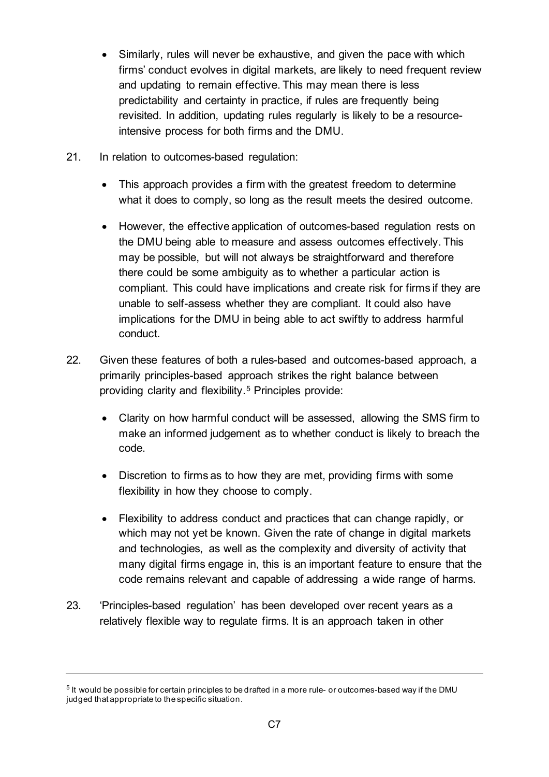- Similarly, rules will never be exhaustive, and given the pace with which firms' conduct evolves in digital markets, are likely to need frequent review and updating to remain effective. This may mean there is less predictability and certainty in practice, if rules are frequently being revisited. In addition, updating rules regularly is likely to be a resourceintensive process for both firms and the DMU.
- 21. In relation to outcomes-based regulation:
	- This approach provides a firm with the greatest freedom to determine what it does to comply, so long as the result meets the desired outcome.
	- However, the effective application of outcomes-based regulation rests on the DMU being able to measure and assess outcomes effectively. This may be possible, but will not always be straightforward and therefore there could be some ambiguity as to whether a particular action is compliant. This could have implications and create risk for firms if they are unable to self-assess whether they are compliant. It could also have implications for the DMU in being able to act swiftly to address harmful conduct.
- 22. Given these features of both a rules-based and outcomes-based approach, a primarily principles-based approach strikes the right balance between providing clarity and flexibility.[5](#page-6-0) Principles provide:
	- Clarity on how harmful conduct will be assessed, allowing the SMS firm to make an informed judgement as to whether conduct is likely to breach the code.
	- Discretion to firms as to how they are met, providing firms with some flexibility in how they choose to comply.
	- Flexibility to address conduct and practices that can change rapidly, or which may not yet be known. Given the rate of change in digital markets and technologies, as well as the complexity and diversity of activity that many digital firms engage in, this is an important feature to ensure that the code remains relevant and capable of addressing a wide range of harms.
- 23. 'Principles-based regulation' has been developed over recent years as a relatively flexible way to regulate firms. It is an approach taken in other

<span id="page-6-0"></span><sup>5</sup> It would be possible for certain principles to be drafted in a more rule- or outcomes-based way if the DMU judged that appropriate to the specific situation.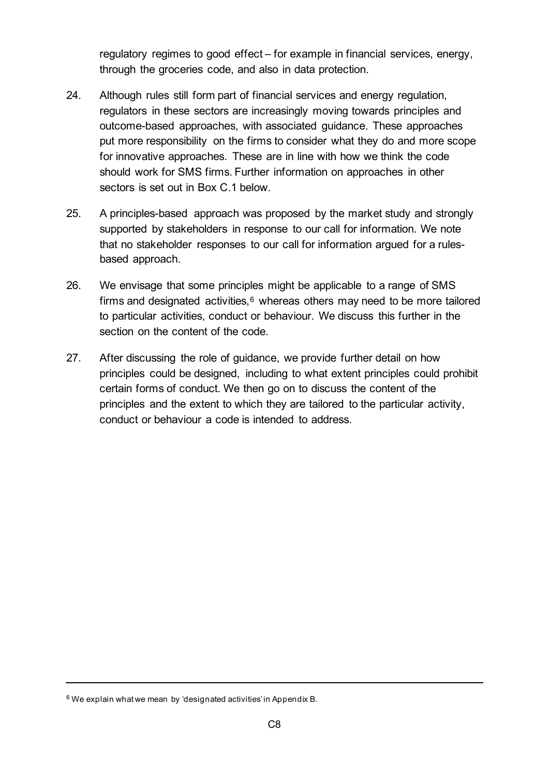regulatory regimes to good effect – for example in financial services, energy, through the groceries code, and also in data protection.

- 24. Although rules still form part of financial services and energy regulation, regulators in these sectors are increasingly moving towards principles and outcome-based approaches, with associated guidance. These approaches put more responsibility on the firms to consider what they do and more scope for innovative approaches. These are in line with how we think the code should work for SMS firms. Further information on approaches in other sectors is set out in [Box C.1](#page-8-0) below.
- 25. A principles-based approach was proposed by the market study and strongly supported by stakeholders in response to our call for information. We note that no stakeholder responses to our call for information argued for a rulesbased approach.
- 26. We envisage that some principles might be applicable to a range of SMS firms and designated activities, $6$  whereas others may need to be more tailored to particular activities, conduct or behaviour. We discuss this further in the section on the content of the code.
- 27. After discussing the role of guidance, we provide further detail on how principles could be designed, including to what extent principles could prohibit certain forms of conduct. We then go on to discuss the content of the principles and the extent to which they are tailored to the particular activity, conduct or behaviour a code is intended to address.

<span id="page-7-0"></span> $6$  We explain what we mean by 'designated activities' in Appendix B.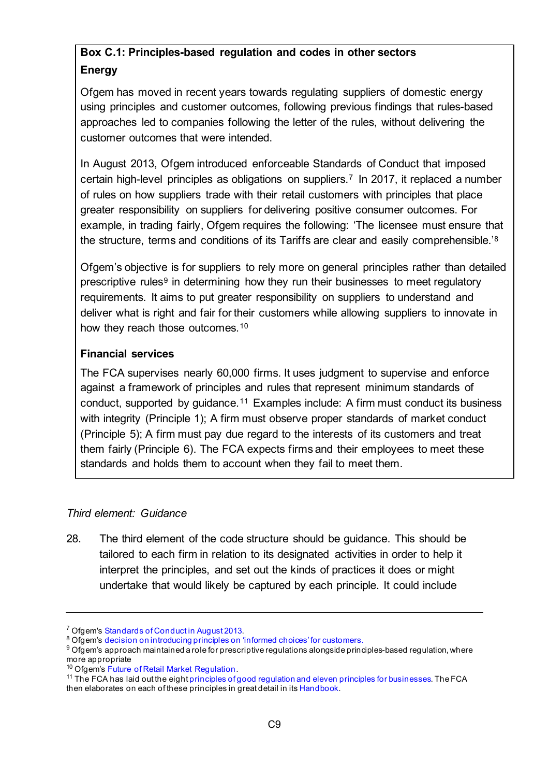# <span id="page-8-0"></span>**Box C.1: Principles-based regulation and codes in other sectors Energy**

Ofgem has moved in recent years towards regulating suppliers of domestic energy using principles and customer outcomes, following previous findings that rules-based approaches led to companies following the letter of the rules, without delivering the customer outcomes that were intended.

In August 2013, Ofgem introduced enforceable Standards of Conduct that imposed certain high-level principles as obligations on suppliers.[7](#page-8-1) In 2017, it replaced a number of rules on how suppliers trade with their retail customers with principles that place greater responsibility on suppliers for delivering positive consumer outcomes. For example, in trading fairly, Ofgem requires the following: 'The licensee must ensure that the structure, terms and conditions of its Tariffs are clear and easily comprehensible.'[8](#page-8-2)

Ofgem's objective is for suppliers to rely more on general principles rather than detailed prescriptive rules<sup>[9](#page-8-3)</sup> in determining how they run their businesses to meet regulatory requirements. It aims to put greater responsibility on suppliers to understand and deliver what is right and fair for their customers while allowing suppliers to innovate in how they reach those outcomes.<sup>10</sup>

### **Financial services**

The FCA supervises nearly 60,000 firms. It uses judgment to supervise and enforce against a framework of principles and rules that represent minimum standards of conduct, supported by guidance.[11](#page-8-5) Examples include: A firm must conduct its business with integrity (Principle 1); A firm must observe proper standards of market conduct (Principle 5); A firm must pay due regard to the interests of its customers and treat them fairly (Principle 6). The FCA expects firms and their employees to meet these standards and holds them to account when they fail to meet them.

### *Third element: Guidance*

28. The third element of the code structure should be guidance. This should be tailored to each firm in relation to its designated activities in order to help it interpret the principles, and set out the kinds of practices it does or might undertake that would likely be captured by each principle. It could include

<span id="page-8-1"></span> $7$  Ofgem's Standards of Conduct in August 2013.<br><sup>8</sup> Ofgem's [decision on introducing principles on 'informed choices' for customers.](https://www.ofgem.gov.uk/system/files/docs/2017/04/slc_25_decision_document_0.pdf)

<span id="page-8-3"></span><span id="page-8-2"></span><sup>9</sup> Ofgem's approach maintained a role for prescriptive regulations alongside principles-based regulation, where more appropriate<br><sup>10</sup> Ofgem's Future of Retail Market Regulation.

<span id="page-8-5"></span><span id="page-8-4"></span> $11$  The FCA has laid out the eight principles of good regulation [and eleven principles for businesses.](https://www.fca.org.uk/about/principles-good-regulation) The FCA then elaborates on each of these principles in great detail in it[s Handbook](https://www.handbook.fca.org.uk/handbook/APER.pdf).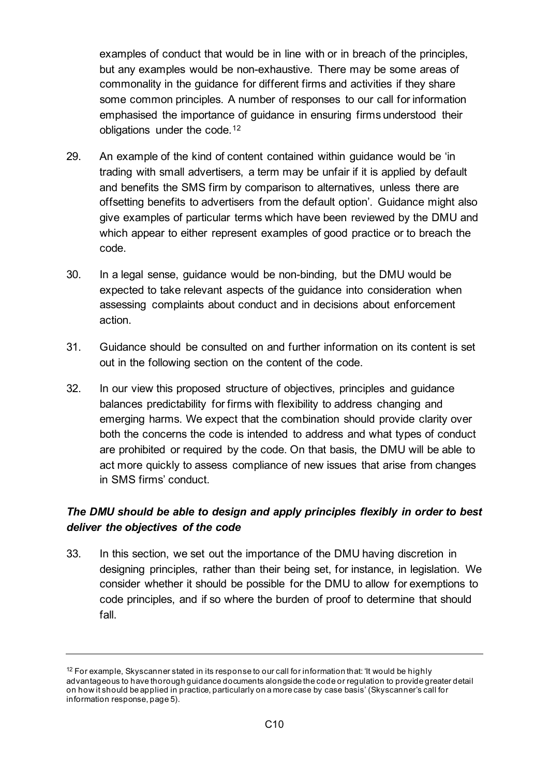examples of conduct that would be in line with or in breach of the principles, but any examples would be non-exhaustive. There may be some areas of commonality in the guidance for different firms and activities if they share some common principles. A number of responses to our call for information emphasised the importance of guidance in ensuring firms understood their obligations under the code.<sup>[12](#page-9-0)</sup>

- 29. An example of the kind of content contained within guidance would be 'in trading with small advertisers, a term may be unfair if it is applied by default and benefits the SMS firm by comparison to alternatives, unless there are offsetting benefits to advertisers from the default option'. Guidance might also give examples of particular terms which have been reviewed by the DMU and which appear to either represent examples of good practice or to breach the code.
- 30. In a legal sense, guidance would be non-binding, but the DMU would be expected to take relevant aspects of the guidance into consideration when assessing complaints about conduct and in decisions about enforcement action.
- 31. Guidance should be consulted on and further information on its content is set out in the following section on the content of the code.
- 32. In our view this proposed structure of objectives, principles and guidance balances predictability for firms with flexibility to address changing and emerging harms. We expect that the combination should provide clarity over both the concerns the code is intended to address and what types of conduct are prohibited or required by the code. On that basis, the DMU will be able to act more quickly to assess compliance of new issues that arise from changes in SMS firms' conduct.

### *The DMU should be able to design and apply principles flexibly in order to best deliver the objectives of the code*

33. In this section, we set out the importance of the DMU having discretion in designing principles, rather than their being set, for instance, in legislation. We consider whether it should be possible for the DMU to allow for exemptions to code principles, and if so where the burden of proof to determine that should fall.

<span id="page-9-0"></span><sup>&</sup>lt;sup>12</sup> For example, Skyscanner stated in its response to our call for information that: 'It would be highly advantageous to have thorough guidance documents alongside the code or regulation to provide greater detail on how it should be applied in practice, particularly on a more case by case basis' (Skyscanner's call for information response, page 5).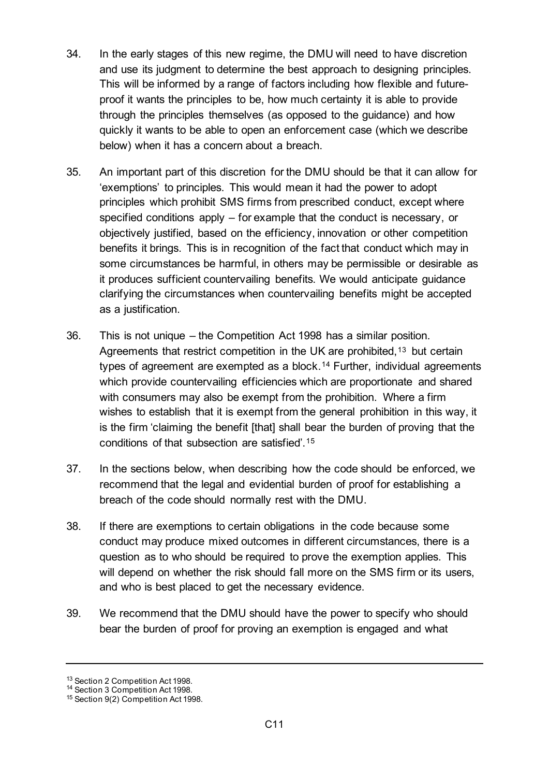- 34. In the early stages of this new regime, the DMU will need to have discretion and use its judgment to determine the best approach to designing principles. This will be informed by a range of factors including how flexible and futureproof it wants the principles to be, how much certainty it is able to provide through the principles themselves (as opposed to the guidance) and how quickly it wants to be able to open an enforcement case (which we describe below) when it has a concern about a breach.
- 35. An important part of this discretion for the DMU should be that it can allow for 'exemptions' to principles. This would mean it had the power to adopt principles which prohibit SMS firms from prescribed conduct, except where specified conditions apply – for example that the conduct is necessary, or objectively justified, based on the efficiency, innovation or other competition benefits it brings. This is in recognition of the fact that conduct which may in some circumstances be harmful, in others may be permissible or desirable as it produces sufficient countervailing benefits. We would anticipate guidance clarifying the circumstances when countervailing benefits might be accepted as a justification.
- 36. This is not unique the Competition Act 1998 has a similar position. Agreements that restrict competition in the UK are prohibited,<sup>[13](#page-10-0)</sup> but certain types of agreement are exempted as a block.[14](#page-10-1) Further, individual agreements which provide countervailing efficiencies which are proportionate and shared with consumers may also be exempt from the prohibition. Where a firm wishes to establish that it is exempt from the general prohibition in this way, it is the firm 'claiming the benefit [that] shall bear the burden of proving that the conditions of that subsection are satisfied'.[15](#page-10-2)
- 37. In the sections below, when describing how the code should be enforced, we recommend that the legal and evidential burden of proof for establishing a breach of the code should normally rest with the DMU.
- 38. If there are exemptions to certain obligations in the code because some conduct may produce mixed outcomes in different circumstances, there is a question as to who should be required to prove the exemption applies. This will depend on whether the risk should fall more on the SMS firm or its users, and who is best placed to get the necessary evidence.
- 39. We recommend that the DMU should have the power to specify who should bear the burden of proof for proving an exemption is engaged and what

<span id="page-10-0"></span><sup>13</sup> Section 2 Competition Act 1998.

<span id="page-10-1"></span><sup>&</sup>lt;sup>14</sup> Section 3 Competition Act 1998.

<span id="page-10-2"></span><sup>15</sup> Section 9(2) Competition Act 1998.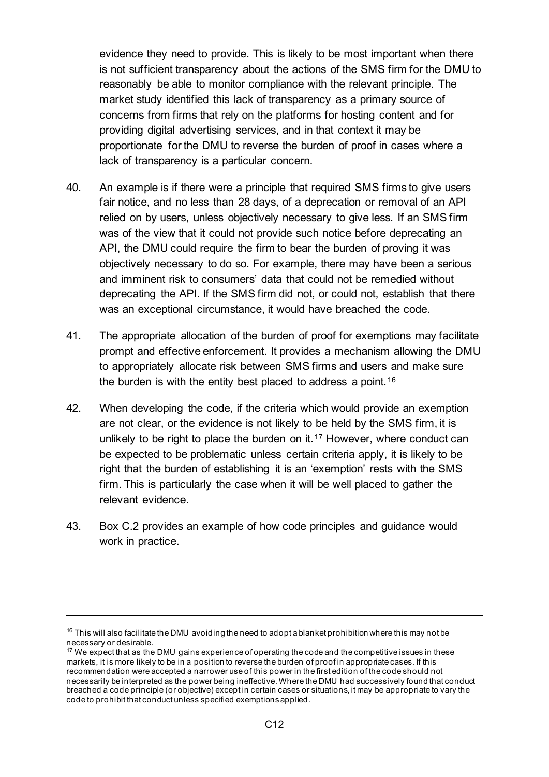evidence they need to provide. This is likely to be most important when there is not sufficient transparency about the actions of the SMS firm for the DMU to reasonably be able to monitor compliance with the relevant principle. The market study identified this lack of transparency as a primary source of concerns from firms that rely on the platforms for hosting content and for providing digital advertising services, and in that context it may be proportionate for the DMU to reverse the burden of proof in cases where a lack of transparency is a particular concern.

- 40. An example is if there were a principle that required SMS firms to give users fair notice, and no less than 28 days, of a deprecation or removal of an API relied on by users, unless objectively necessary to give less. If an SMS firm was of the view that it could not provide such notice before deprecating an API, the DMU could require the firm to bear the burden of proving it was objectively necessary to do so. For example, there may have been a serious and imminent risk to consumers' data that could not be remedied without deprecating the API. If the SMS firm did not, or could not, establish that there was an exceptional circumstance, it would have breached the code.
- 41. The appropriate allocation of the burden of proof for exemptions may facilitate prompt and effective enforcement. It provides a mechanism allowing the DMU to appropriately allocate risk between SMS firms and users and make sure the burden is with the entity best placed to address a point.<sup>16</sup>
- 42. When developing the code, if the criteria which would provide an exemption are not clear, or the evidence is not likely to be held by the SMS firm, it is unlikely to be right to place the burden on it.<sup>[17](#page-11-1)</sup> However, where conduct can be expected to be problematic unless certain criteria apply, it is likely to be right that the burden of establishing it is an 'exemption' rests with the SMS firm. This is particularly the case when it will be well placed to gather the relevant evidence.
- 43. [Box C.2](#page-12-0) provides an example of how code principles and guidance would work in practice.

<span id="page-11-0"></span> $16$  This will also facilitate the DMU avoiding the need to adopt a blanket prohibition where this may not be necessary or desirable.

<span id="page-11-1"></span> $17$  We expect that as the DMU gains experience of operating the code and the competitive issues in these markets, it is more likely to be in a position to reverse the burden of proof in appropriate cases. If this recommendation were accepted a narrower use of this power in the first edition of the code should not necessarily be interpreted as the power being ineffective. Where the DMU had successively found that conduct breached a code principle (or objective) except in certain cases or situations, it may be appropriate to vary the code to prohibit that conduct unless specified exemptions applied.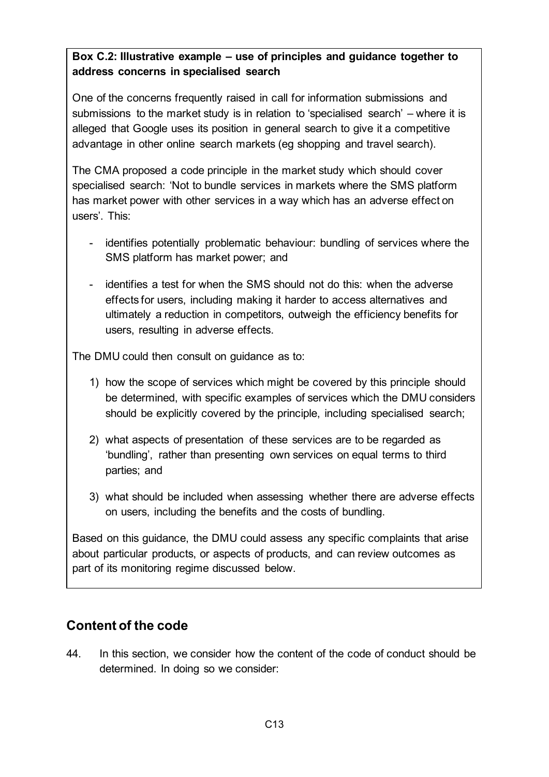### <span id="page-12-0"></span>**Box C.2: Illustrative example – use of principles and guidance together to address concerns in specialised search**

One of the concerns frequently raised in call for information submissions and submissions to the market study is in relation to 'specialised search' – where it is alleged that Google uses its position in general search to give it a competitive advantage in other online search markets (eg shopping and travel search).

The CMA proposed a code principle in the market study which should cover specialised search: 'Not to bundle services in markets where the SMS platform has market power with other services in a way which has an adverse effect on users'. This:

- identifies potentially problematic behaviour: bundling of services where the SMS platform has market power; and
- identifies a test for when the SMS should not do this: when the adverse effects for users, including making it harder to access alternatives and ultimately a reduction in competitors, outweigh the efficiency benefits for users, resulting in adverse effects.

The DMU could then consult on guidance as to:

- 1) how the scope of services which might be covered by this principle should be determined, with specific examples of services which the DMU considers should be explicitly covered by the principle, including specialised search;
- 2) what aspects of presentation of these services are to be regarded as 'bundling', rather than presenting own services on equal terms to third parties; and
- 3) what should be included when assessing whether there are adverse effects on users, including the benefits and the costs of bundling.

Based on this guidance, the DMU could assess any specific complaints that arise about particular products, or aspects of products, and can review outcomes as part of its monitoring regime discussed below.

# **Content of the code**

44. In this section, we consider how the content of the code of conduct should be determined. In doing so we consider: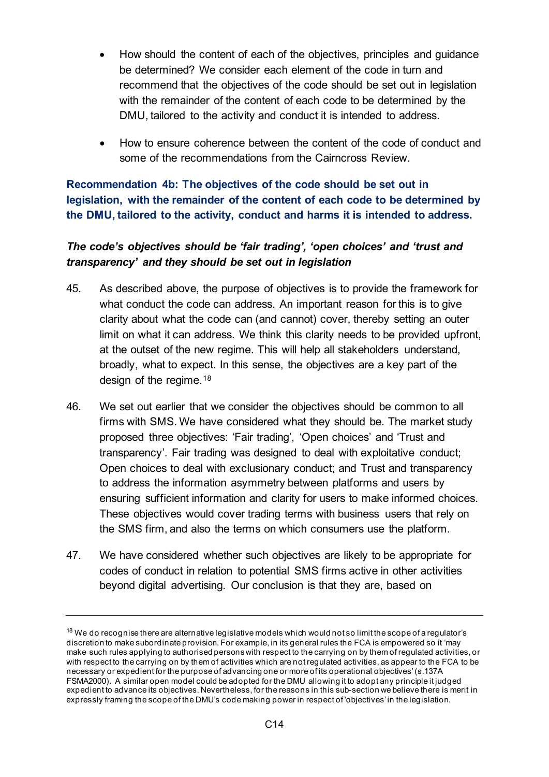- How should the content of each of the objectives, principles and guidance be determined? We consider each element of the code in turn and recommend that the objectives of the code should be set out in legislation with the remainder of the content of each code to be determined by the DMU, tailored to the activity and conduct it is intended to address.
- How to ensure coherence between the content of the code of conduct and some of the recommendations from the Cairncross Review.

**Recommendation 4b: The objectives of the code should be set out in legislation, with the remainder of the content of each code to be determined by the DMU, tailored to the activity, conduct and harms it is intended to address.**

## *The code's objectives should be 'fair trading', 'open choices' and 'trust and transparency' and they should be set out in legislation*

- 45. As described above, the purpose of objectives is to provide the framework for what conduct the code can address. An important reason for this is to give clarity about what the code can (and cannot) cover, thereby setting an outer limit on what it can address. We think this clarity needs to be provided upfront, at the outset of the new regime. This will help all stakeholders understand, broadly, what to expect. In this sense, the objectives are a key part of the design of the regime.<sup>18</sup>
- 46. We set out earlier that we consider the objectives should be common to all firms with SMS. We have considered what they should be. The market study proposed three objectives: 'Fair trading', 'Open choices' and 'Trust and transparency'. Fair trading was designed to deal with exploitative conduct; Open choices to deal with exclusionary conduct; and Trust and transparency to address the information asymmetry between platforms and users by ensuring sufficient information and clarity for users to make informed choices. These objectives would cover trading terms with business users that rely on the SMS firm, and also the terms on which consumers use the platform.
- 47. We have considered whether such objectives are likely to be appropriate for codes of conduct in relation to potential SMS firms active in other activities beyond digital advertising. Our conclusion is that they are, based on

<span id="page-13-0"></span><sup>&</sup>lt;sup>18</sup> We do recognise there are alternative legislative models which would not so limit the scope of a regulator's discretion to make subordinate provision. For example, in its general rules the FCA is empowered so it 'may make such rules applying to authorised persons with respect to the carrying on by them of regulated activities, or with respect to the carrying on by them of activities which are not regulated activities, as appear to the FCA to be necessary or expedient for the purpose of advancing one or more of its operational objectives'(s.137A FSMA2000). A similar open model could be adopted for the DMU allowing it to adopt any principle it judged expedient to advance its objectives. Nevertheless, for the reasons in this sub-section we believe there is merit in expressly framing the scope of the DMU's code making power in respect of 'objectives' in the legislation.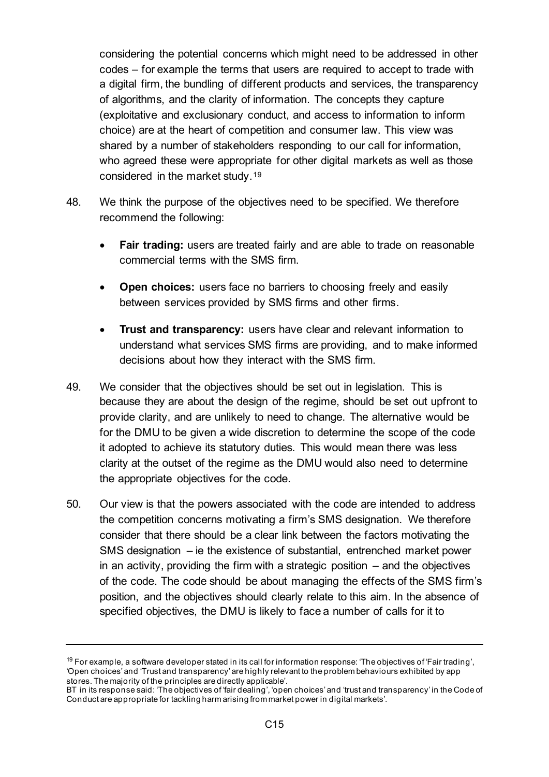considering the potential concerns which might need to be addressed in other codes – for example the terms that users are required to accept to trade with a digital firm, the bundling of different products and services, the transparency of algorithms, and the clarity of information. The concepts they capture (exploitative and exclusionary conduct, and access to information to inform choice) are at the heart of competition and consumer law. This view was shared by a number of stakeholders responding to our call for information, who agreed these were appropriate for other digital markets as well as those considered in the market study.[19](#page-14-0)

- 48. We think the purpose of the objectives need to be specified. We therefore recommend the following:
	- **Fair trading:** users are treated fairly and are able to trade on reasonable commercial terms with the SMS firm.
	- **Open choices:** users face no barriers to choosing freely and easily between services provided by SMS firms and other firms.
	- **Trust and transparency:** users have clear and relevant information to understand what services SMS firms are providing, and to make informed decisions about how they interact with the SMS firm.
- 49. We consider that the objectives should be set out in legislation. This is because they are about the design of the regime, should be set out upfront to provide clarity, and are unlikely to need to change. The alternative would be for the DMU to be given a wide discretion to determine the scope of the code it adopted to achieve its statutory duties. This would mean there was less clarity at the outset of the regime as the DMU would also need to determine the appropriate objectives for the code.
- 50. Our view is that the powers associated with the code are intended to address the competition concerns motivating a firm's SMS designation. We therefore consider that there should be a clear link between the factors motivating the SMS designation – ie the existence of substantial, entrenched market power in an activity, providing the firm with a strategic position – and the objectives of the code. The code should be about managing the effects of the SMS firm's position, and the objectives should clearly relate to this aim. In the absence of specified objectives, the DMU is likely to face a number of calls for it to

<span id="page-14-0"></span> $19$  For example, a software developer stated in its call for information response: 'The objectives of 'Fair trading', 'Open choices' and 'Trust and transparency' are highly relevant to the problem behaviours exhibited by app stores. The majority of the principles are directly applicable'.

BT in its response said: 'The objectives of 'fair dealing', 'open choices' and 'trust and transparency' in the Code of Conduct are appropriate for tackling harm arising from market power in digital markets'.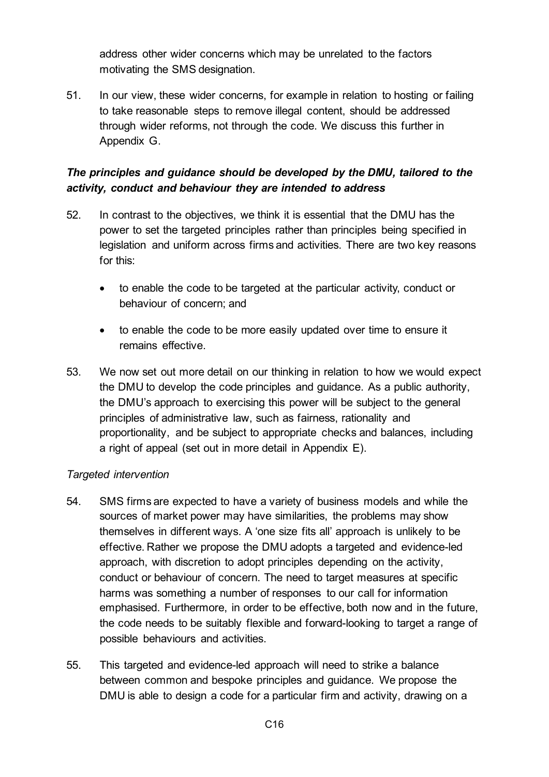address other wider concerns which may be unrelated to the factors motivating the SMS designation.

51. In our view, these wider concerns, for example in relation to hosting or failing to take reasonable steps to remove illegal content, should be addressed through wider reforms, not through the code. We discuss this further in Appendix G.

## *The principles and guidance should be developed by the DMU, tailored to the activity, conduct and behaviour they are intended to address*

- 52. In contrast to the objectives, we think it is essential that the DMU has the power to set the targeted principles rather than principles being specified in legislation and uniform across firms and activities. There are two key reasons for this:
	- to enable the code to be targeted at the particular activity, conduct or behaviour of concern; and
	- to enable the code to be more easily updated over time to ensure it remains effective.
- 53. We now set out more detail on our thinking in relation to how we would expect the DMU to develop the code principles and guidance. As a public authority, the DMU's approach to exercising this power will be subject to the general principles of administrative law, such as fairness, rationality and proportionality, and be subject to appropriate checks and balances, including a right of appeal (set out in more detail in Appendix E).

### *Targeted intervention*

- 54. SMS firms are expected to have a variety of business models and while the sources of market power may have similarities, the problems may show themselves in different ways. A 'one size fits all' approach is unlikely to be effective. Rather we propose the DMU adopts a targeted and evidence-led approach, with discretion to adopt principles depending on the activity, conduct or behaviour of concern. The need to target measures at specific harms was something a number of responses to our call for information emphasised. Furthermore, in order to be effective, both now and in the future, the code needs to be suitably flexible and forward-looking to target a range of possible behaviours and activities.
- 55. This targeted and evidence-led approach will need to strike a balance between common and bespoke principles and guidance. We propose the DMU is able to design a code for a particular firm and activity, drawing on a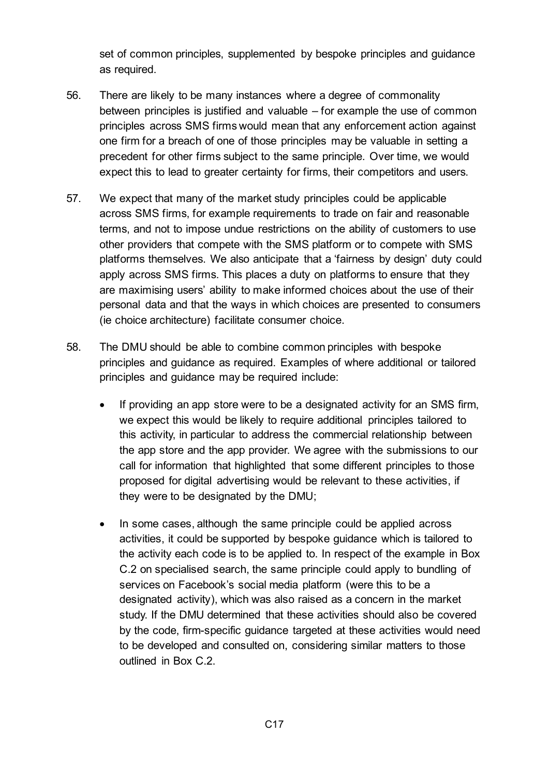set of common principles, supplemented by bespoke principles and guidance as required.

- 56. There are likely to be many instances where a degree of commonality between principles is justified and valuable – for example the use of common principles across SMS firms would mean that any enforcement action against one firm for a breach of one of those principles may be valuable in setting a precedent for other firms subject to the same principle. Over time, we would expect this to lead to greater certainty for firms, their competitors and users.
- 57. We expect that many of the market study principles could be applicable across SMS firms, for example requirements to trade on fair and reasonable terms, and not to impose undue restrictions on the ability of customers to use other providers that compete with the SMS platform or to compete with SMS platforms themselves. We also anticipate that a 'fairness by design' duty could apply across SMS firms. This places a duty on platforms to ensure that they are maximising users' ability to make informed choices about the use of their personal data and that the ways in which choices are presented to consumers (ie choice architecture) facilitate consumer choice.
- 58. The DMU should be able to combine common principles with bespoke principles and guidance as required. Examples of where additional or tailored principles and guidance may be required include:
	- If providing an app store were to be a designated activity for an SMS firm, we expect this would be likely to require additional principles tailored to this activity, in particular to address the commercial relationship between the app store and the app provider. We agree with the submissions to our call for information that highlighted that some different principles to those proposed for digital advertising would be relevant to these activities, if they were to be designated by the DMU;
	- In some cases, although the same principle could be applied across activities, it could be supported by bespoke guidance which is tailored to the activity each code is to be applied to. In respect of the example in [Box](#page-12-0)  [C.2](#page-12-0) on specialised search, the same principle could apply to bundling of services on Facebook's social media platform (were this to be a designated activity), which was also raised as a concern in the market study. If the DMU determined that these activities should also be covered by the code, firm-specific guidance targeted at these activities would need to be developed and consulted on, considering similar matters to those outlined in [Box C.2.](#page-12-0)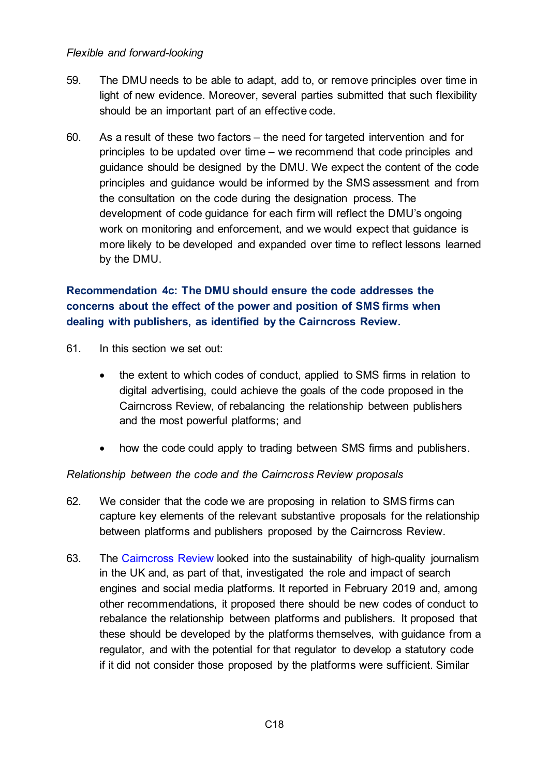#### *Flexible and forward-looking*

- 59. The DMU needs to be able to adapt, add to, or remove principles over time in light of new evidence. Moreover, several parties submitted that such flexibility should be an important part of an effective code.
- 60. As a result of these two factors the need for targeted intervention and for principles to be updated over time – we recommend that code principles and guidance should be designed by the DMU. We expect the content of the code principles and guidance would be informed by the SMS assessment and from the consultation on the code during the designation process. The development of code guidance for each firm will reflect the DMU's ongoing work on monitoring and enforcement, and we would expect that guidance is more likely to be developed and expanded over time to reflect lessons learned by the DMU.

## **Recommendation 4c: The DMU should ensure the code addresses the concerns about the effect of the power and position of SMS firms when dealing with publishers, as identified by the Cairncross Review.**

- 61. In this section we set out:
	- the extent to which codes of conduct, applied to SMS firms in relation to digital advertising, could achieve the goals of the code proposed in the Cairncross Review, of rebalancing the relationship between publishers and the most powerful platforms; and
	- how the code could apply to trading between SMS firms and publishers.

#### *Relationship between the code and the Cairncross Review proposals*

- 62. We consider that the code we are proposing in relation to SMS firms can capture key elements of the relevant substantive proposals for the relationship between platforms and publishers proposed by the Cairncross Review.
- 63. The [Cairncross Review](https://assets.publishing.service.gov.uk/government/uploads/system/uploads/attachment_data/file/779882/021919_DCMS_Cairncross_Review_.pdf) looked into the sustainability of high-quality journalism in the UK and, as part of that, investigated the role and impact of search engines and social media platforms. It reported in February 2019 and, among other recommendations, it proposed there should be new codes of conduct to rebalance the relationship between platforms and publishers. It proposed that these should be developed by the platforms themselves, with guidance from a regulator, and with the potential for that regulator to develop a statutory code if it did not consider those proposed by the platforms were sufficient. Similar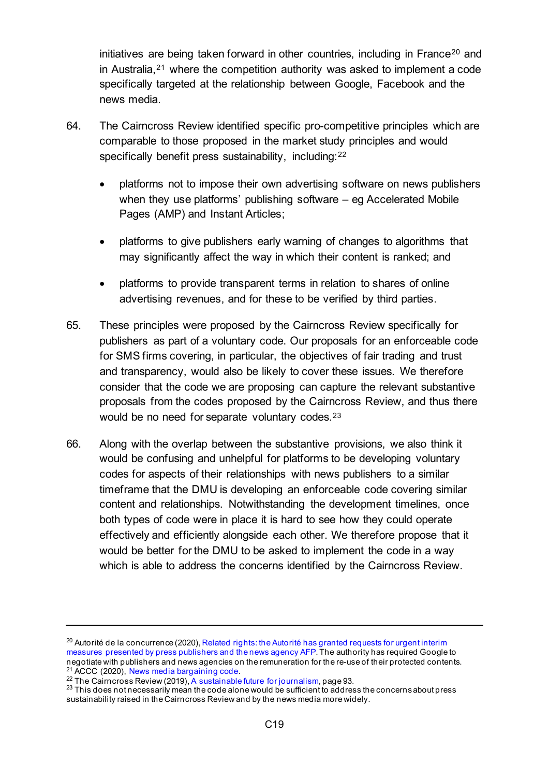initiatives are being taken forward in other countries, including in France<sup>[20](#page-18-0)</sup> and in Australia,[21](#page-18-1) where the competition authority was asked to implement a code specifically targeted at the relationship between Google, Facebook and the news media.

- 64. The Cairncross Review identified specific pro-competitive principles which are comparable to those proposed in the market study principles and would specifically benefit press sustainability, including: [22](#page-18-2)
	- platforms not to impose their own advertising software on news publishers when they use platforms' publishing software – eg Accelerated Mobile Pages (AMP) and Instant Articles;
	- platforms to give publishers early warning of changes to algorithms that may significantly affect the way in which their content is ranked; and
	- platforms to provide transparent terms in relation to shares of online advertising revenues, and for these to be verified by third parties.
- 65. These principles were proposed by the Cairncross Review specifically for publishers as part of a voluntary code. Our proposals for an enforceable code for SMS firms covering, in particular, the objectives of fair trading and trust and transparency, would also be likely to cover these issues. We therefore consider that the code we are proposing can capture the relevant substantive proposals from the codes proposed by the Cairncross Review, and thus there would be no need for separate voluntary codes.<sup>[23](#page-18-3)</sup>
- 66. Along with the overlap between the substantive provisions, we also think it would be confusing and unhelpful for platforms to be developing voluntary codes for aspects of their relationships with news publishers to a similar timeframe that the DMU is developing an enforceable code covering similar content and relationships. Notwithstanding the development timelines, once both types of code were in place it is hard to see how they could operate effectively and efficiently alongside each other. We therefore propose that it would be better for the DMU to be asked to implement the code in a way which is able to address the concerns identified by the Cairncross Review.

<span id="page-18-0"></span> $20$  Autorité de la concurrence (2020), Related rights: the Autorité has granted requests for urgent interim [measures presented by press publishers and the news agency AFP.](https://www.autoritedelaconcurrence.fr/en/press-release/related-rights-autorite-has-granted-requests-urgent-interim-measures-presented-press) The authority has required Google to negotiate with publishers and news agencies on the remuneration for the re-use of their protected contents. 21 ACCC (2020), [News media bargaining code.](https://www.accc.gov.au/focus-areas/digital-platforms/news-media-bargaining-code)<br>
22 The Cairncross Review (2019)[, A sustainable future for journalism,](https://eur02.safelinks.protection.outlook.com/?url=https%3A%2F%2Fwww.gov.uk%2Fgovernment%2Fpublications%2Fthe-cairncross-review-a-sustainable-future-for-journalism&data=04%7C01%7CMark.Johnson%40cma.gov.uk%7C6a816b3766e24249498608d89778e0db%7C1948f2d40bc24c5e8c34caac9d736834%7C1%7C0%7C637425892742829418%7CUnknown%7CTWFpbGZsb3d8eyJWIjoiMC4wLjAwMDAiLCJQIjoiV2luMzIiLCJBTiI6Ik1haWwiLCJXVCI6Mn0%3D%7C1000&sdata=IPO8CUf2sZJLenj%2FpIr1GdFx5ExcBBEdAQ2IDKDcWmU%3D&reserved=0) page 93.<br>
<sup>23</sup> This does not necessarily mean the code alone would be sufficient to address the concerns ab

<span id="page-18-1"></span>

<span id="page-18-3"></span><span id="page-18-2"></span>sustainability raised in the Cairncross Review and by the news media more widely.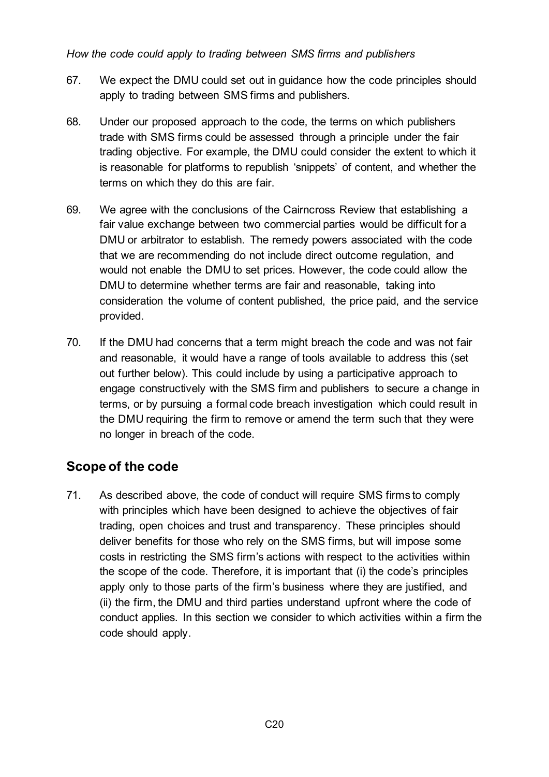### *How the code could apply to trading between SMS firms and publishers*

- 67. We expect the DMU could set out in guidance how the code principles should apply to trading between SMS firms and publishers.
- 68. Under our proposed approach to the code, the terms on which publishers trade with SMS firms could be assessed through a principle under the fair trading objective. For example, the DMU could consider the extent to which it is reasonable for platforms to republish 'snippets' of content, and whether the terms on which they do this are fair.
- 69. We agree with the conclusions of the Cairncross Review that establishing a fair value exchange between two commercial parties would be difficult for a DMU or arbitrator to establish. The remedy powers associated with the code that we are recommending do not include direct outcome regulation, and would not enable the DMU to set prices. However, the code could allow the DMU to determine whether terms are fair and reasonable, taking into consideration the volume of content published, the price paid, and the service provided.
- 70. If the DMU had concerns that a term might breach the code and was not fair and reasonable, it would have a range of tools available to address this (set out further below). This could include by using a participative approach to engage constructively with the SMS firm and publishers to secure a change in terms, or by pursuing a formal code breach investigation which could result in the DMU requiring the firm to remove or amend the term such that they were no longer in breach of the code.

# **Scope of the code**

71. As described above, the code of conduct will require SMS firms to comply with principles which have been designed to achieve the objectives of fair trading, open choices and trust and transparency. These principles should deliver benefits for those who rely on the SMS firms, but will impose some costs in restricting the SMS firm's actions with respect to the activities within the scope of the code. Therefore, it is important that (i) the code's principles apply only to those parts of the firm's business where they are justified, and (ii) the firm, the DMU and third parties understand upfront where the code of conduct applies. In this section we consider to which activities within a firm the code should apply.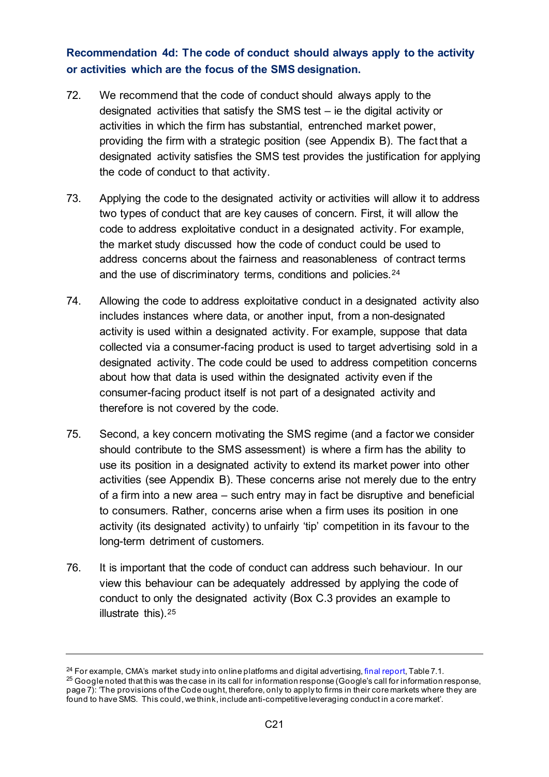## **Recommendation 4d: The code of conduct should always apply to the activity or activities which are the focus of the SMS designation.**

- 72. We recommend that the code of conduct should always apply to the designated activities that satisfy the SMS test – ie the digital activity or activities in which the firm has substantial, entrenched market power, providing the firm with a strategic position (see Appendix B). The fact that a designated activity satisfies the SMS test provides the justification for applying the code of conduct to that activity.
- 73. Applying the code to the designated activity or activities will allow it to address two types of conduct that are key causes of concern. First, it will allow the code to address exploitative conduct in a designated activity. For example, the market study discussed how the code of conduct could be used to address concerns about the fairness and reasonableness of contract terms and the use of discriminatory terms, conditions and policies.[24](#page-20-0)
- 74. Allowing the code to address exploitative conduct in a designated activity also includes instances where data, or another input, from a non-designated activity is used within a designated activity. For example, suppose that data collected via a consumer-facing product is used to target advertising sold in a designated activity. The code could be used to address competition concerns about how that data is used within the designated activity even if the consumer-facing product itself is not part of a designated activity and therefore is not covered by the code.
- 75. Second, a key concern motivating the SMS regime (and a factor we consider should contribute to the SMS assessment) is where a firm has the ability to use its position in a designated activity to extend its market power into other activities (see Appendix B). These concerns arise not merely due to the entry of a firm into a new area – such entry may in fact be disruptive and beneficial to consumers. Rather, concerns arise when a firm uses its position in one activity (its designated activity) to unfairly 'tip' competition in its favour to the long-term detriment of customers.
- 76. It is important that the code of conduct can address such behaviour. In our view this behaviour can be adequately addressed by applying the code of conduct to only the designated activity [\(Box C.3](#page-21-0) provides an example to illustrate this).[25](#page-20-1)

<span id="page-20-1"></span><span id="page-20-0"></span><sup>&</sup>lt;sup>24</sup> For example, CMA's market study into online platforms and digital advertising, [final report](https://assets.publishing.service.gov.uk/media/5efc57ed3a6f4023d242ed56/Final_report_1_July_2020_.pdf), Table 7.1. <sup>25</sup> Google noted that this was the case in its call for information response (Google's call for information response, page 7): 'The provisions of the Code ought, therefore, only to apply to firms in their core markets where they are found to have SMS. This could, we think, include anti-competitive leveraging conduct in a core market'.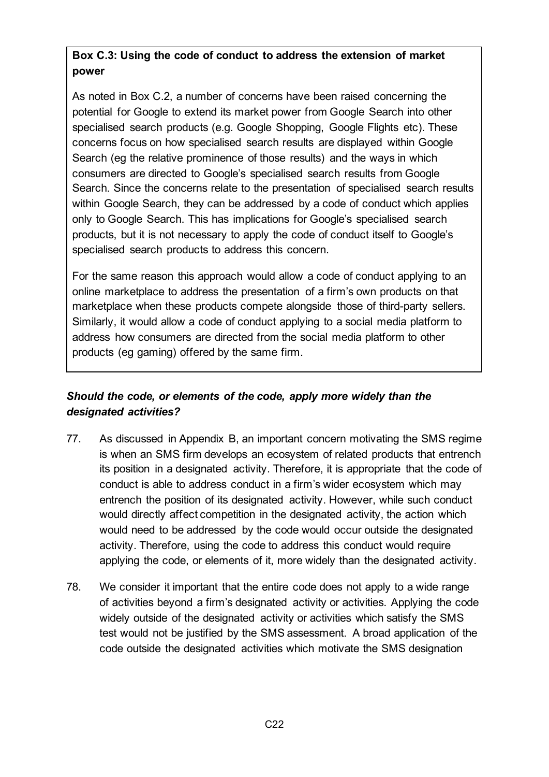# <span id="page-21-0"></span>**Box C.3: Using the code of conduct to address the extension of market power**

As noted in [Box C.2,](#page-12-0) a number of concerns have been raised concerning the potential for Google to extend its market power from Google Search into other specialised search products (e.g. Google Shopping, Google Flights etc). These concerns focus on how specialised search results are displayed within Google Search (eg the relative prominence of those results) and the ways in which consumers are directed to Google's specialised search results from Google Search. Since the concerns relate to the presentation of specialised search results within Google Search, they can be addressed by a code of conduct which applies only to Google Search. This has implications for Google's specialised search products, but it is not necessary to apply the code of conduct itself to Google's specialised search products to address this concern.

For the same reason this approach would allow a code of conduct applying to an online marketplace to address the presentation of a firm's own products on that marketplace when these products compete alongside those of third-party sellers. Similarly, it would allow a code of conduct applying to a social media platform to address how consumers are directed from the social media platform to other products (eg gaming) offered by the same firm.

## *Should the code, or elements of the code, apply more widely than the designated activities?*

- 77. As discussed in Appendix B, an important concern motivating the SMS regime is when an SMS firm develops an ecosystem of related products that entrench its position in a designated activity. Therefore, it is appropriate that the code of conduct is able to address conduct in a firm's wider ecosystem which may entrench the position of its designated activity. However, while such conduct would directly affect competition in the designated activity, the action which would need to be addressed by the code would occur outside the designated activity. Therefore, using the code to address this conduct would require applying the code, or elements of it, more widely than the designated activity.
- 78. We consider it important that the entire code does not apply to a wide range of activities beyond a firm's designated activity or activities. Applying the code widely outside of the designated activity or activities which satisfy the SMS test would not be justified by the SMS assessment. A broad application of the code outside the designated activities which motivate the SMS designation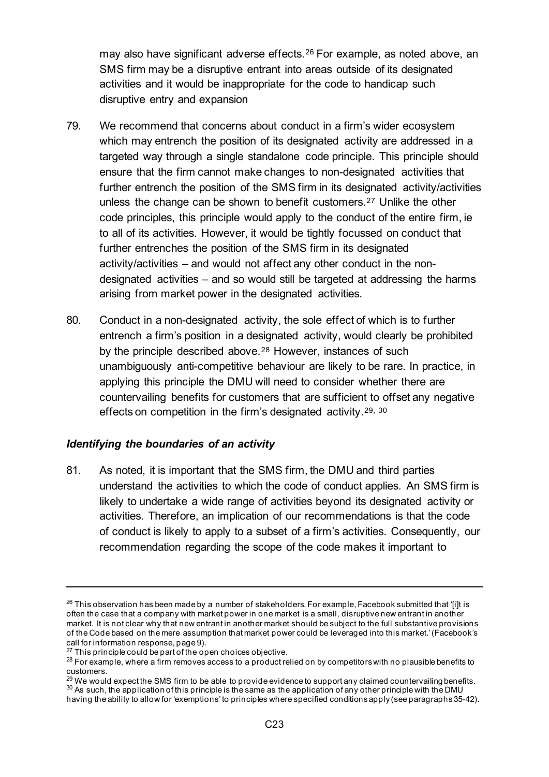may also have significant adverse effects.[26](#page-22-0) For example, as noted above, an SMS firm may be a disruptive entrant into areas outside of its designated activities and it would be inappropriate for the code to handicap such disruptive entry and expansion

- 79. We recommend that concerns about conduct in a firm's wider ecosystem which may entrench the position of its designated activity are addressed in a targeted way through a single standalone code principle. This principle should ensure that the firm cannot make changes to non-designated activities that further entrench the position of the SMS firm in its designated activity/activities unless the change can be shown to benefit customers.[27](#page-22-1) Unlike the other code principles, this principle would apply to the conduct of the entire firm, ie to all of its activities. However, it would be tightly focussed on conduct that further entrenches the position of the SMS firm in its designated activity/activities – and would not affect any other conduct in the nondesignated activities – and so would still be targeted at addressing the harms arising from market power in the designated activities.
- 80. Conduct in a non-designated activity, the sole effect of which is to further entrench a firm's position in a designated activity, would clearly be prohibited by the principle described above.<sup>[28](#page-22-2)</sup> However, instances of such unambiguously anti-competitive behaviour are likely to be rare. In practice, in applying this principle the DMU will need to consider whether there are countervailing benefits for customers that are sufficient to offset any negative effects on competition in the firm's designated activity.[29,](#page-22-3) [30](#page-22-4)

### *Identifying the boundaries of an activity*

81. As noted, it is important that the SMS firm, the DMU and third parties understand the activities to which the code of conduct applies. An SMS firm is likely to undertake a wide range of activities beyond its designated activity or activities. Therefore, an implication of our recommendations is that the code of conduct is likely to apply to a subset of a firm's activities. Consequently, our recommendation regarding the scope of the code makes it important to

<span id="page-22-0"></span> $^{26}$  This observation has been made by a number of stakeholders. For example, Facebook submitted that 'filt is often the case that a company with market power in one market is a small, disruptive new entrant in another market. It is not clear why that new entrant in another market should be subject to the full substantive provisions of the Code based on the mere assumption that market power could be leveraged into this market.' (Facebook's

call for information response, page 9).<br> $^{27}$  This principle could be part of the open choices objective.

<span id="page-22-2"></span><span id="page-22-1"></span> $^{28}$  For example, where a firm removes access to a product relied on by competitors with no plausible benefits to customers.

<span id="page-22-4"></span><span id="page-22-3"></span><sup>&</sup>lt;sup>29</sup> We would expect the SMS firm to be able to provide evidence to support any claimed countervailing benefits.<br><sup>30</sup> As such, the application of this principle is the same as the application of any other principle with th having the ability to allow for 'exemptions' to principles where specified conditions apply (see paragraphs 35-42).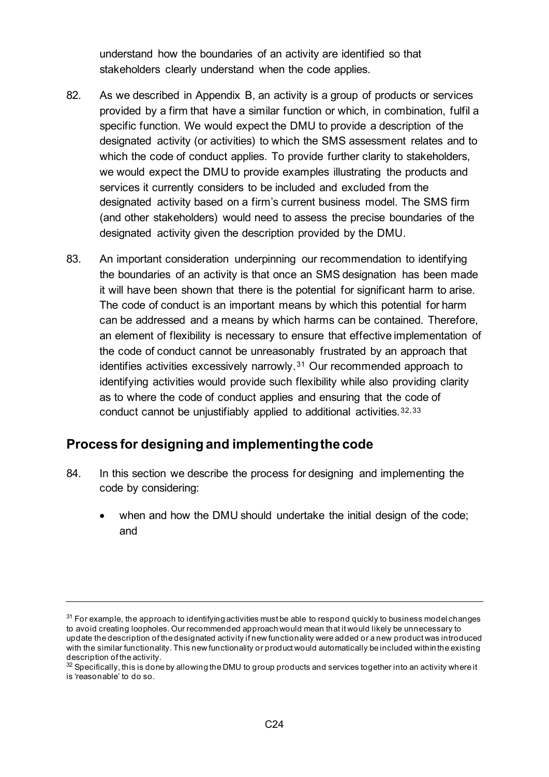understand how the boundaries of an activity are identified so that stakeholders clearly understand when the code applies.

- 82. As we described in Appendix B, an activity is a group of products or services provided by a firm that have a similar function or which, in combination, fulfil a specific function. We would expect the DMU to provide a description of the designated activity (or activities) to which the SMS assessment relates and to which the code of conduct applies. To provide further clarity to stakeholders, we would expect the DMU to provide examples illustrating the products and services it currently considers to be included and excluded from the designated activity based on a firm's current business model. The SMS firm (and other stakeholders) would need to assess the precise boundaries of the designated activity given the description provided by the DMU.
- 83. An important consideration underpinning our recommendation to identifying the boundaries of an activity is that once an SMS designation has been made it will have been shown that there is the potential for significant harm to arise. The code of conduct is an important means by which this potential for harm can be addressed and a means by which harms can be contained. Therefore, an element of flexibility is necessary to ensure that effective implementation of the code of conduct cannot be unreasonably frustrated by an approach that identifies activities excessively narrowly.[31](#page-23-0) Our recommended approach to identifying activities would provide such flexibility while also providing clarity as to where the code of conduct applies and ensuring that the code of conduct cannot be unjustifiably applied to additional activities.[32](#page-23-1),[33](#page-23-2)

### **Process for designing and implementing the code**

- 84. In this section we describe the process for designing and implementing the code by considering:
	- when and how the DMU should undertake the initial design of the code; and

<span id="page-23-0"></span> $31$  For example, the approach to identifying activities must be able to respond quickly to business model changes to avoid creating loopholes. Our recommended approach would mean that it would likely be unnecessary to update the description of the designated activity if new functionality were added or a new product was introduced with the similar functionality. This new functionality or product would automatically be included within the existing<br>description of the activity.

<span id="page-23-2"></span><span id="page-23-1"></span> $32$  Specifically, this is done by allowing the DMU to group products and services together into an activity where it is 'reasonable' to do so.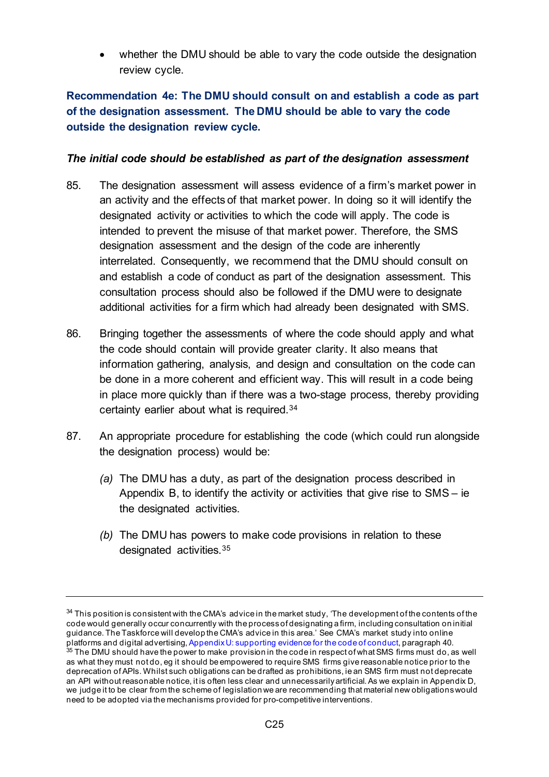whether the DMU should be able to vary the code outside the designation review cycle.

## **Recommendation 4e: The DMU should consult on and establish a code as part of the designation assessment. The DMU should be able to vary the code outside the designation review cycle.**

#### *The initial code should be established as part of the designation assessment*

- 85. The designation assessment will assess evidence of a firm's market power in an activity and the effects of that market power. In doing so it will identify the designated activity or activities to which the code will apply. The code is intended to prevent the misuse of that market power. Therefore, the SMS designation assessment and the design of the code are inherently interrelated. Consequently, we recommend that the DMU should consult on and establish a code of conduct as part of the designation assessment. This consultation process should also be followed if the DMU were to designate additional activities for a firm which had already been designated with SMS.
- 86. Bringing together the assessments of where the code should apply and what the code should contain will provide greater clarity. It also means that information gathering, analysis, and design and consultation on the code can be done in a more coherent and efficient way. This will result in a code being in place more quickly than if there was a two-stage process, thereby providing certainty earlier about what is required.[34](#page-24-0)
- 87. An appropriate procedure for establishing the code (which could run alongside the designation process) would be:
	- *(a)* The DMU has a duty, as part of the designation process described in Appendix B, to identify the activity or activities that give rise to SMS – ie the designated activities.
	- *(b)* The DMU has powers to make code provisions in relation to these designated activities.[35](#page-24-1)

<span id="page-24-1"></span><span id="page-24-0"></span> $34$  This position is consistent with the CMA's advice in the market study, 'The development of the contents of the code would generally occur concurrently with the process of designating a firm, including consultation on initial guidance. The Taskforce will develop the CMA's advice in this area.' See CMA's market study into online platforms and digital advertising[, Appendix U: supporting evidence for the code of conduct,](https://assets.publishing.service.gov.uk/media/5efb5fab3a6f4023d242ed4f/Appendix_U_-_The_Code_v.6.pdf) paragraph 40.<br><sup>35</sup> The DMU should have the power to make provision in the code in respect of what SMS firms must do, as well as what they must not do, eg it should be empowered to require SMS firms give reasonable notice prior to the deprecation of APIs. Whilst such obligations can be drafted as prohibitions, ie an SMS firm must not deprecate an API without reasonable notice, it is often less clear and unnecessarily artificial. As we explain in Appendix D, we judge it to be clear from the scheme of legislation we are recommending that material new obligations would need to be adopted via the mechanisms provided for pro-competitive interventions.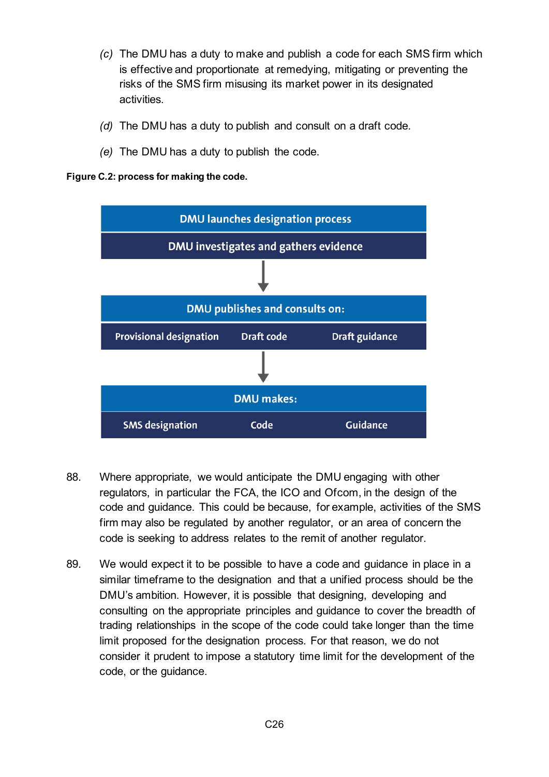- *(c)* The DMU has a duty to make and publish a code for each SMS firm which is effective and proportionate at remedying, mitigating or preventing the risks of the SMS firm misusing its market power in its designated activities.
- *(d)* The DMU has a duty to publish and consult on a draft code.
- *(e)* The DMU has a duty to publish the code.

**Figure C.2: process for making the code.**



- 88. Where appropriate, we would anticipate the DMU engaging with other regulators, in particular the FCA, the ICO and Ofcom, in the design of the code and guidance. This could be because, for example, activities of the SMS firm may also be regulated by another regulator, or an area of concern the code is seeking to address relates to the remit of another regulator.
- 89. We would expect it to be possible to have a code and guidance in place in a similar timeframe to the designation and that a unified process should be the DMU's ambition. However, it is possible that designing, developing and consulting on the appropriate principles and guidance to cover the breadth of trading relationships in the scope of the code could take longer than the time limit proposed for the designation process. For that reason, we do not consider it prudent to impose a statutory time limit for the development of the code, or the guidance.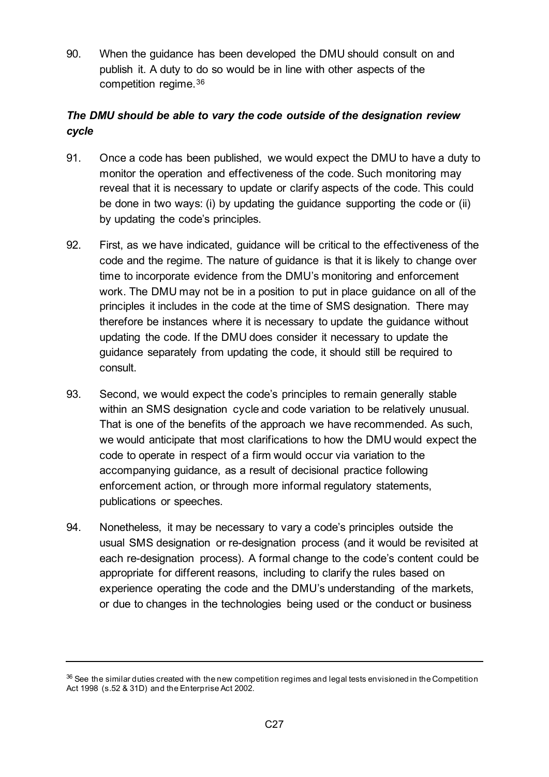90. When the guidance has been developed the DMU should consult on and publish it. A duty to do so would be in line with other aspects of the competition regime.[36](#page-26-0)

## *The DMU should be able to vary the code outside of the designation review cycle*

- 91. Once a code has been published, we would expect the DMU to have a duty to monitor the operation and effectiveness of the code. Such monitoring may reveal that it is necessary to update or clarify aspects of the code. This could be done in two ways: (i) by updating the guidance supporting the code or (ii) by updating the code's principles.
- 92. First, as we have indicated, guidance will be critical to the effectiveness of the code and the regime. The nature of guidance is that it is likely to change over time to incorporate evidence from the DMU's monitoring and enforcement work. The DMU may not be in a position to put in place guidance on all of the principles it includes in the code at the time of SMS designation. There may therefore be instances where it is necessary to update the guidance without updating the code. If the DMU does consider it necessary to update the guidance separately from updating the code, it should still be required to consult.
- 93. Second, we would expect the code's principles to remain generally stable within an SMS designation cycle and code variation to be relatively unusual. That is one of the benefits of the approach we have recommended. As such, we would anticipate that most clarifications to how the DMU would expect the code to operate in respect of a firm would occur via variation to the accompanying guidance, as a result of decisional practice following enforcement action, or through more informal regulatory statements, publications or speeches.
- 94. Nonetheless, it may be necessary to vary a code's principles outside the usual SMS designation or re-designation process (and it would be revisited at each re-designation process). A formal change to the code's content could be appropriate for different reasons, including to clarify the rules based on experience operating the code and the DMU's understanding of the markets, or due to changes in the technologies being used or the conduct or business

<span id="page-26-0"></span> $36$  See the similar duties created with the new competition regimes and legal tests envisioned in the Competition Act 1998 (s.52 & 31D) and the Enterprise Act 2002.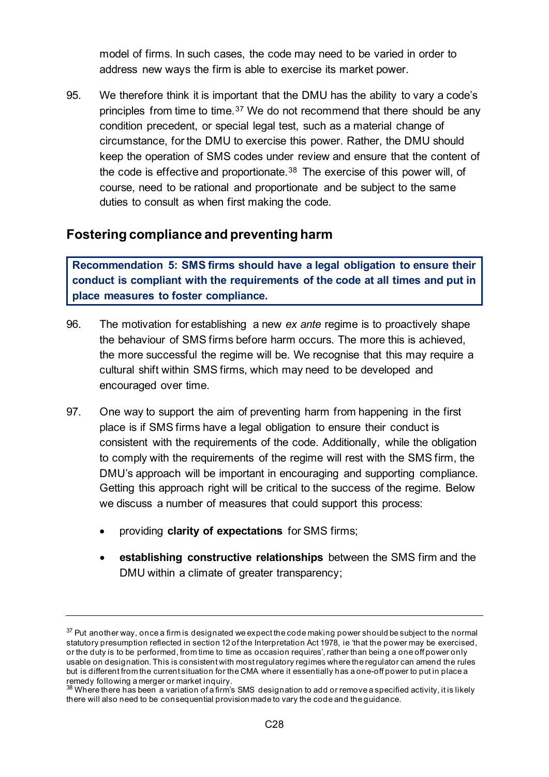model of firms. In such cases, the code may need to be varied in order to address new ways the firm is able to exercise its market power.

95. We therefore think it is important that the DMU has the ability to vary a code's principles from time to time.[37](#page-27-0) We do not recommend that there should be any condition precedent, or special legal test, such as a material change of circumstance, for the DMU to exercise this power. Rather, the DMU should keep the operation of SMS codes under review and ensure that the content of the code is effective and proportionate.<sup>[38](#page-27-1)</sup> The exercise of this power will, of course, need to be rational and proportionate and be subject to the same duties to consult as when first making the code.

# **Fostering compliance and preventing harm**

**Recommendation 5: SMS firms should have a legal obligation to ensure their conduct is compliant with the requirements of the code at all times and put in place measures to foster compliance.**

- 96. The motivation for establishing a new *ex ante* regime is to proactively shape the behaviour of SMS firms before harm occurs. The more this is achieved, the more successful the regime will be. We recognise that this may require a cultural shift within SMS firms, which may need to be developed and encouraged over time.
- 97. One way to support the aim of preventing harm from happening in the first place is if SMS firms have a legal obligation to ensure their conduct is consistent with the requirements of the code. Additionally, while the obligation to comply with the requirements of the regime will rest with the SMS firm, the DMU's approach will be important in encouraging and supporting compliance. Getting this approach right will be critical to the success of the regime. Below we discuss a number of measures that could support this process:
	- providing **clarity of expectations** for SMS firms;
	- **establishing constructive relationships** between the SMS firm and the DMU within a climate of greater transparency;

<span id="page-27-0"></span><sup>&</sup>lt;sup>37</sup> Put another way, once a firm is designated we expect the code making power should be subject to the normal statutory presumption reflected in section 12 of the Interpretation Act 1978, ie 'that the power may be exercised, or the duty is to be performed, from time to time as occasion requires', rather than being a one off power only usable on designation. This is consistent with most regulatory regimes where the regulator can amend the rules but is different from the current situation for the CMA where it essentially has a one-off power to put in place a remedy following a merger or market inquiry.

<span id="page-27-1"></span><sup>&</sup>lt;sup>38</sup> Where there has been a variation of a firm's SMS designation to add or remove a specified activity, it is likely there will also need to be consequential provision made to vary the code and the guidance.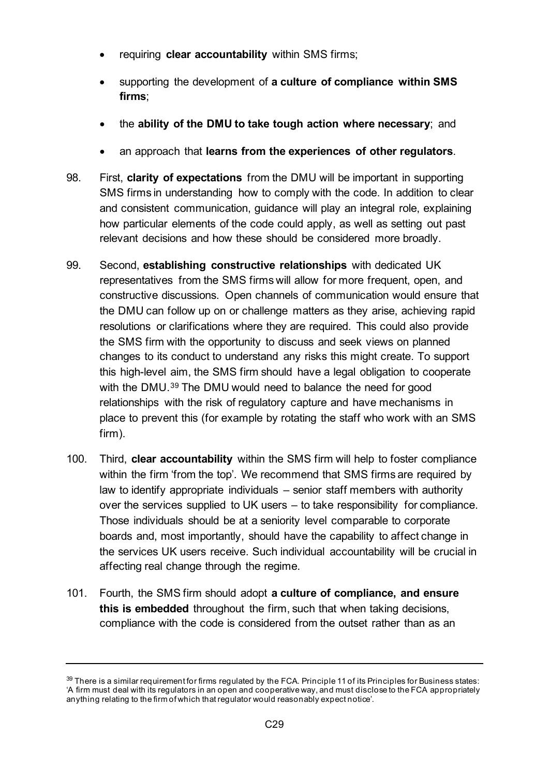- requiring **clear accountability** within SMS firms;
- supporting the development of **a culture of compliance within SMS firms**;
- the **ability of the DMU to take tough action where necessary**; and
- an approach that **learns from the experiences of other regulators**.
- 98. First, **clarity of expectations** from the DMU will be important in supporting SMS firms in understanding how to comply with the code. In addition to clear and consistent communication, guidance will play an integral role, explaining how particular elements of the code could apply, as well as setting out past relevant decisions and how these should be considered more broadly.
- 99. Second, **establishing constructive relationships** with dedicated UK representatives from the SMS firms will allow for more frequent, open, and constructive discussions. Open channels of communication would ensure that the DMU can follow up on or challenge matters as they arise, achieving rapid resolutions or clarifications where they are required. This could also provide the SMS firm with the opportunity to discuss and seek views on planned changes to its conduct to understand any risks this might create. To support this high-level aim, the SMS firm should have a legal obligation to cooperate with the DMU.[39](#page-28-0) The DMU would need to balance the need for good relationships with the risk of regulatory capture and have mechanisms in place to prevent this (for example by rotating the staff who work with an SMS firm).
- 100. Third, **clear accountability** within the SMS firm will help to foster compliance within the firm 'from the top'. We recommend that SMS firms are required by law to identify appropriate individuals – senior staff members with authority over the services supplied to UK users – to take responsibility for compliance. Those individuals should be at a seniority level comparable to corporate boards and, most importantly, should have the capability to affect change in the services UK users receive. Such individual accountability will be crucial in affecting real change through the regime.
- 101. Fourth, the SMS firm should adopt **a culture of compliance, and ensure this is embedded** throughout the firm, such that when taking decisions, compliance with the code is considered from the outset rather than as an

<span id="page-28-0"></span> $39$  There is a similar requirement for firms regulated by the FCA. Principle 11 of its Principles for Business states: 'A [firm](https://www.handbook.fca.org.uk/handbook/glossary/G430.html) must deal with its regulators in an open and cooperative way, and must disclose to the [FCA](https://www.handbook.fca.org.uk/handbook/glossary/G2974.html) appropriately anything relating to the [firm](https://www.handbook.fca.org.uk/handbook/glossary/G430.html) of which that regulator would reasonably expect notice'.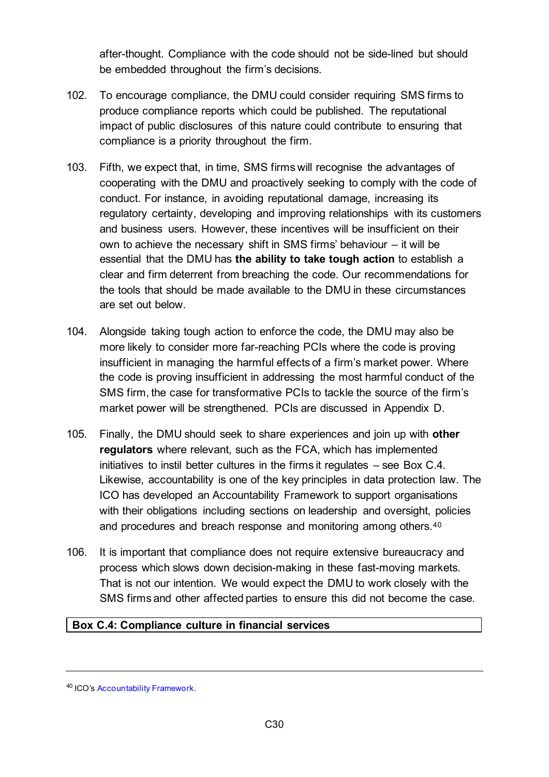after-thought. Compliance with the code should not be side-lined but should be embedded throughout the firm's decisions.

- 102. To encourage compliance, the DMU could consider requiring SMS firms to produce compliance reports which could be published. The reputational impact of public disclosures of this nature could contribute to ensuring that compliance is a priority throughout the firm.
- 103. Fifth, we expect that, in time, SMS firms will recognise the advantages of cooperating with the DMU and proactively seeking to comply with the code of conduct. For instance, in avoiding reputational damage, increasing its regulatory certainty, developing and improving relationships with its customers and business users. However, these incentives will be insufficient on their own to achieve the necessary shift in SMS firms' behaviour – it will be essential that the DMU has **the ability to take tough action** to establish a clear and firm deterrent from breaching the code. Our recommendations for the tools that should be made available to the DMU in these circumstances are set out below.
- 104. Alongside taking tough action to enforce the code, the DMU may also be more likely to consider more far-reaching PCIs where the code is proving insufficient in managing the harmful effects of a firm's market power. Where the code is proving insufficient in addressing the most harmful conduct of the SMS firm, the case for transformative PCIs to tackle the source of the firm's market power will be strengthened. PCIs are discussed in Appendix D.
- 105. Finally, the DMU should seek to share experiences and join up with **other regulators** where relevant, such as the FCA, which has implemented initiatives to instil better cultures in the firms it regulates – see [Box C.4.](#page-29-0) Likewise, accountability is one of the key principles in data protection law. The ICO has developed an Accountability Framework to support organisations with their obligations including sections on leadership and oversight, policies and procedures and breach response and monitoring among others.[40](#page-29-1)
- 106. It is important that compliance does not require extensive bureaucracy and process which slows down decision-making in these fast-moving markets. That is not our intention. We would expect the DMU to work closely with the SMS firms and other affected parties to ensure this did not become the case.

#### <span id="page-29-0"></span>**Box C.4: Compliance culture in financial services**

<span id="page-29-1"></span><sup>40</sup> ICO's [Accountability Framework.](https://ico.org.uk/for-organisations/guide-to-data-protection/guide-to-the-general-data-protection-regulation-gdpr/accountability-and-governance/)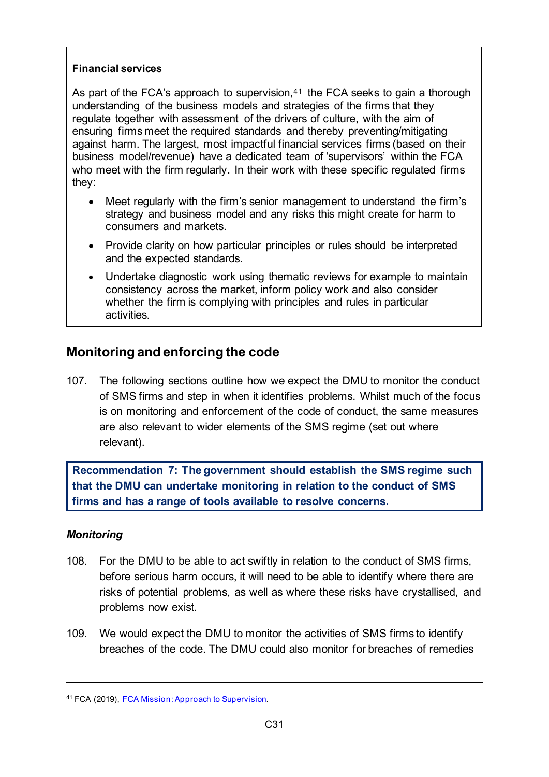#### **Financial services**

As part of the FCA's approach to supervision, $41$  the FCA seeks to gain a thorough understanding of the business models and strategies of the firms that they regulate together with assessment of the drivers of culture, with the aim of ensuring firms meet the required standards and thereby preventing/mitigating against harm. The largest, most impactful financial services firms (based on their business model/revenue) have a dedicated team of 'supervisors' within the FCA who meet with the firm regularly. In their work with these specific regulated firms they:

- Meet regularly with the firm's senior management to understand the firm's strategy and business model and any risks this might create for harm to consumers and markets.
- Provide clarity on how particular principles or rules should be interpreted and the expected standards.
- Undertake diagnostic work using thematic reviews for example to maintain consistency across the market, inform policy work and also consider whether the firm is complying with principles and rules in particular activities.

# **Monitoring and enforcing the code**

107. The following sections outline how we expect the DMU to monitor the conduct of SMS firms and step in when it identifies problems. Whilst much of the focus is on monitoring and enforcement of the code of conduct, the same measures are also relevant to wider elements of the SMS regime (set out where relevant).

**Recommendation 7: The government should establish the SMS regime such that the DMU can undertake monitoring in relation to the conduct of SMS firms and has a range of tools available to resolve concerns.** 

### *Monitoring*

- 108. For the DMU to be able to act swiftly in relation to the conduct of SMS firms, before serious harm occurs, it will need to be able to identify where there are risks of potential problems, as well as where these risks have crystallised, and problems now exist.
- 109. We would expect the DMU to monitor the activities of SMS firms to identify breaches of the code. The DMU could also monitor for breaches of remedies

<span id="page-30-0"></span><sup>41</sup> FCA (2019), [FCA Mission: Approach to Supervision.](https://www.fca.org.uk/publication/corporate/our-approach-supervision-final-report-feedback-statement.pdf)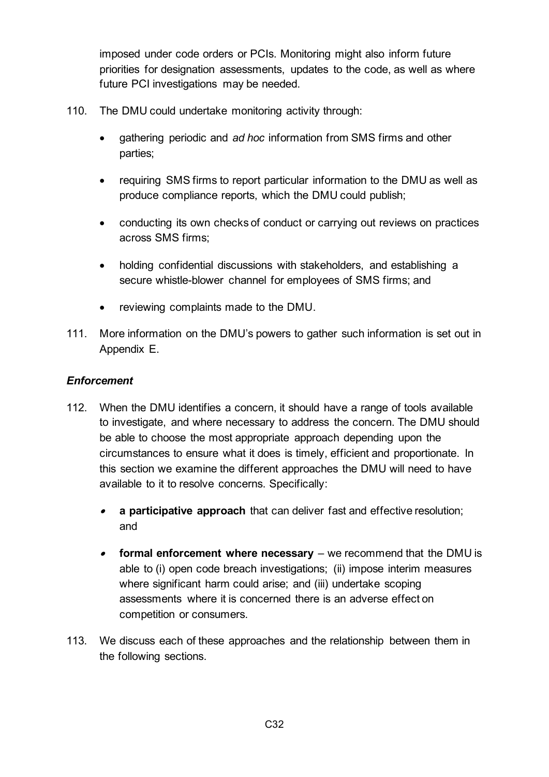imposed under code orders or PCIs. Monitoring might also inform future priorities for designation assessments, updates to the code, as well as where future PCI investigations may be needed.

- 110. The DMU could undertake monitoring activity through:
	- gathering periodic and *ad hoc* information from SMS firms and other parties;
	- requiring SMS firms to report particular information to the DMU as well as produce compliance reports, which the DMU could publish;
	- conducting its own checks of conduct or carrying out reviews on practices across SMS firms;
	- holding confidential discussions with stakeholders, and establishing a secure whistle-blower channel for employees of SMS firms; and
	- reviewing complaints made to the DMU.
- 111. More information on the DMU's powers to gather such information is set out in Appendix E.

### *Enforcement*

- 112. When the DMU identifies a concern, it should have a range of tools available to investigate, and where necessary to address the concern. The DMU should be able to choose the most appropriate approach depending upon the circumstances to ensure what it does is timely, efficient and proportionate. In this section we examine the different approaches the DMU will need to have available to it to resolve concerns. Specifically:
	- • **a participative approach** that can deliver fast and effective resolution; and
	- **formal enforcement where necessary** we recommend that the DMU is able to (i) open code breach investigations; (ii) impose interim measures where significant harm could arise; and (iii) undertake scoping assessments where it is concerned there is an adverse effect on competition or consumers.
- 113. We discuss each of these approaches and the relationship between them in the following sections.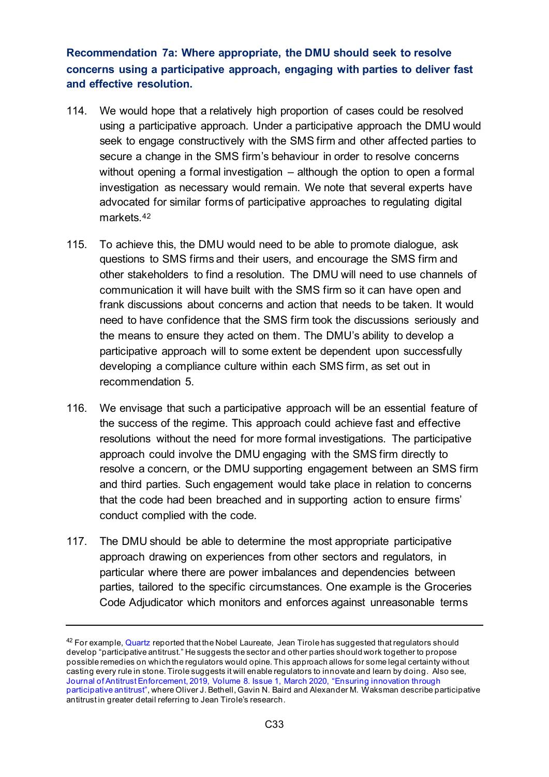**Recommendation 7a: Where appropriate, the DMU should seek to resolve concerns using a participative approach, engaging with parties to deliver fast and effective resolution.** 

- 114. We would hope that a relatively high proportion of cases could be resolved using a participative approach. Under a participative approach the DMU would seek to engage constructively with the SMS firm and other affected parties to secure a change in the SMS firm's behaviour in order to resolve concerns without opening a formal investigation – although the option to open a formal investigation as necessary would remain. We note that several experts have advocated for similar forms of participative approaches to regulating digital markets.[42](#page-32-0)
- 115. To achieve this, the DMU would need to be able to promote dialogue, ask questions to SMS firms and their users, and encourage the SMS firm and other stakeholders to find a resolution. The DMU will need to use channels of communication it will have built with the SMS firm so it can have open and frank discussions about concerns and action that needs to be taken. It would need to have confidence that the SMS firm took the discussions seriously and the means to ensure they acted on them. The DMU's ability to develop a participative approach will to some extent be dependent upon successfully developing a compliance culture within each SMS firm, as set out in recommendation 5.
- 116. We envisage that such a participative approach will be an essential feature of the success of the regime. This approach could achieve fast and effective resolutions without the need for more formal investigations. The participative approach could involve the DMU engaging with the SMS firm directly to resolve a concern, or the DMU supporting engagement between an SMS firm and third parties. Such engagement would take place in relation to concerns that the code had been breached and in supporting action to ensure firms' conduct complied with the code.
- 117. The DMU should be able to determine the most appropriate participative approach drawing on experiences from other sectors and regulators, in particular where there are power imbalances and dependencies between parties, tailored to the specific circumstances. One example is the Groceries Code Adjudicator which monitors and enforces against unreasonable terms

<span id="page-32-0"></span> $42$  For example, [Quartz](https://qz.com/1310266/nobel-winning-economist-jean-tirole-on-how-to-regulate-tech-monopolies/#:%7E:text=We%20must%20develop%20what%20I,casting%20the%20rules%20in%20stone.) reported that the Nobel Laureate, Jean Tirole has suggested that regulators should develop "participative antitrust." He suggests the sector and other parties should work together to propose possible remedies on which the regulators would opine. This approach allows for some legal certainty without casting every rule in stone. Tirole suggests it will enable regulators to innovate and learn by doing. Also see, [Journal of Antitrust Enforcement, 2019, Volume 8. Issue 1, March 2020, "Ensuring innovation through](https://academic.oup.com/antitrust/article-abstract/8/1/30/5550818?redirectedFrom=fulltext)  [participative antitrust"](https://academic.oup.com/antitrust/article-abstract/8/1/30/5550818?redirectedFrom=fulltext), where Oliver J. Bethell, Gavin N. Baird and Alexander M. Waksman describe participative antitrust in greater detail referring to Jean Tirole's research.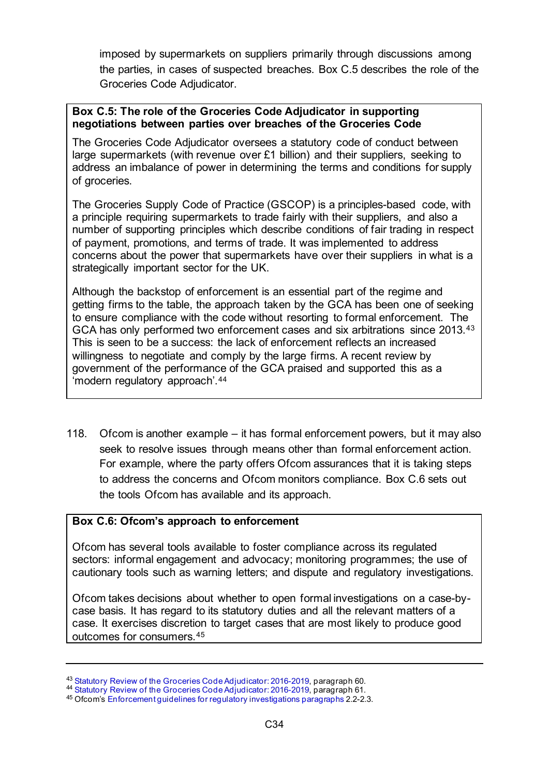imposed by supermarkets on suppliers primarily through discussions among the parties, in cases of suspected breaches. [Box C.5](#page-33-0) describes the role of the Groceries Code Adjudicator.

#### <span id="page-33-0"></span>**Box C.5: The role of the Groceries Code Adjudicator in supporting negotiations between parties over breaches of the Groceries Code**

The Groceries Code Adjudicator oversees a statutory code of conduct between large supermarkets (with revenue over £1 billion) and their suppliers, seeking to address an imbalance of power in determining the terms and conditions for supply of groceries.

The Groceries Supply Code of Practice (GSCOP) is a principles-based code, with a principle requiring supermarkets to trade fairly with their suppliers, and also a number of supporting principles which describe conditions of fair trading in respect of payment, promotions, and terms of trade. It was implemented to address concerns about the power that supermarkets have over their suppliers in what is a strategically important sector for the UK.

Although the backstop of enforcement is an essential part of the regime and getting firms to the table, the approach taken by the GCA has been one of seeking to ensure compliance with the code without resorting to formal enforcement. The GCA has only performed two enforcement cases and six arbitrations since 2013.[43](#page-33-2) This is seen to be a success: the lack of enforcement reflects an increased willingness to negotiate and comply by the large firms. A recent review by government of the performance of the GCA praised and supported this as a 'modern regulatory approach'.[44](#page-33-3)

118. Ofcom is another example – it has formal enforcement powers, but it may also seek to resolve issues through means other than formal enforcement action. For example, where the party offers Ofcom assurances that it is taking steps to address the concerns and Ofcom monitors compliance. [Box C.6](#page-33-1) sets out the tools Ofcom has available and its approach.

#### <span id="page-33-1"></span>**Box C.6: Ofcom's approach to enforcement**

Ofcom has several tools available to foster compliance across its regulated sectors: informal engagement and advocacy; monitoring programmes; the use of cautionary tools such as warning letters; and dispute and regulatory investigations.

Ofcom takes decisions about whether to open formal investigations on a case-bycase basis. It has regard to its statutory duties and all the relevant matters of a case. It exercises discretion to target cases that are most likely to produce good outcomes for consumers.[45](#page-33-4)

<span id="page-33-3"></span><span id="page-33-2"></span><sup>&</sup>lt;sup>43</sup> [Statutory Review of the Groceries Code Adjudicator: 2016-2019,](https://assets.publishing.service.gov.uk/government/uploads/system/uploads/attachment_data/file/901016/gca-report.pdf) paragraph 60.<br><sup>44</sup> Statutory Review of the Groceries Code Adjudicator: 2016-2019, paragraph 61.<br><sup>45</sup> Ofcom's Enforcement guidelines for regulatory investi

<span id="page-33-4"></span>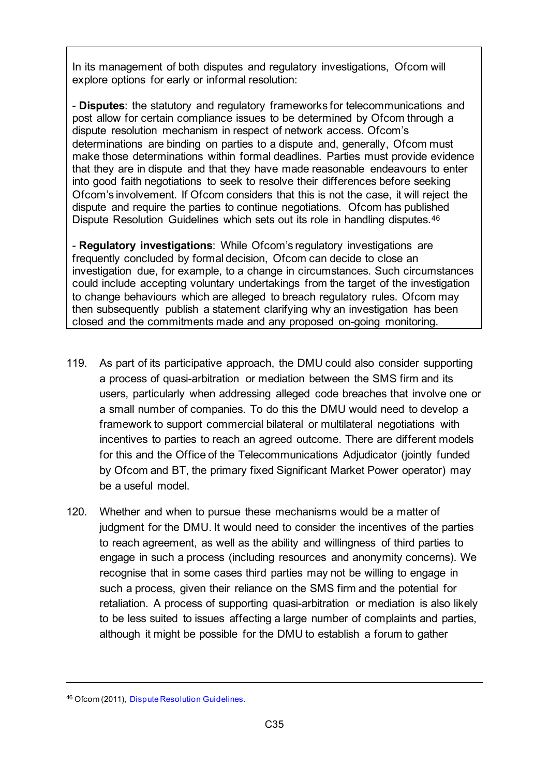In its management of both disputes and regulatory investigations, Ofcom will explore options for early or informal resolution:

- **Disputes**: the statutory and regulatory frameworks for telecommunications and post allow for certain compliance issues to be determined by Ofcom through a dispute resolution mechanism in respect of network access. Ofcom's determinations are binding on parties to a dispute and, generally, Ofcom must make those determinations within formal deadlines. Parties must provide evidence that they are in dispute and that they have made reasonable endeavours to enter into good faith negotiations to seek to resolve their differences before seeking Ofcom's involvement. If Ofcom considers that this is not the case, it will reject the dispute and require the parties to continue negotiations. Ofcom has published Dispute Resolution Guidelines which sets out its role in handling disputes.<sup>[46](#page-34-0)</sup>

- **Regulatory investigations**: While Ofcom's regulatory investigations are frequently concluded by formal decision, Ofcom can decide to close an investigation due, for example, to a change in circumstances. Such circumstances could include accepting voluntary undertakings from the target of the investigation to change behaviours which are alleged to breach regulatory rules. Ofcom may then subsequently publish a statement clarifying why an investigation has been closed and the commitments made and any proposed on-going monitoring.

- 119. As part of its participative approach, the DMU could also consider supporting a process of quasi-arbitration or mediation between the SMS firm and its users, particularly when addressing alleged code breaches that involve one or a small number of companies. To do this the DMU would need to develop a framework to support commercial bilateral or multilateral negotiations with incentives to parties to reach an agreed outcome. There are different models for this and the Office of the Telecommunications Adjudicator (jointly funded by Ofcom and BT, the primary fixed Significant Market Power operator) may be a useful model.
- 120. Whether and when to pursue these mechanisms would be a matter of judgment for the DMU. It would need to consider the incentives of the parties to reach agreement, as well as the ability and willingness of third parties to engage in such a process (including resources and anonymity concerns). We recognise that in some cases third parties may not be willing to engage in such a process, given their reliance on the SMS firm and the potential for retaliation. A process of supporting quasi-arbitration or mediation is also likely to be less suited to issues affecting a large number of complaints and parties, although it might be possible for the DMU to establish a forum to gather

<span id="page-34-0"></span><sup>46</sup> Ofcom (2011), [Dispute Resolution Guidelines](https://www.ofcom.org.uk/__data/assets/pdf_file/0020/71624/guidelines.pdf).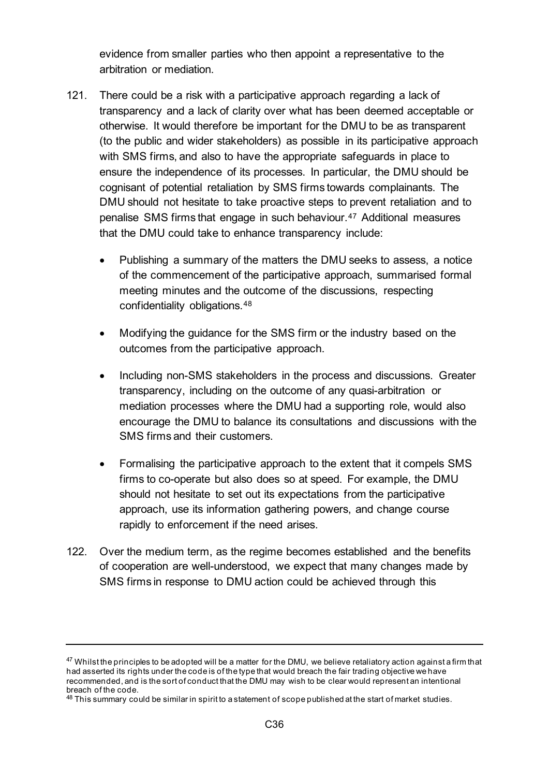evidence from smaller parties who then appoint a representative to the arbitration or mediation.

- 121. There could be a risk with a participative approach regarding a lack of transparency and a lack of clarity over what has been deemed acceptable or otherwise. It would therefore be important for the DMU to be as transparent (to the public and wider stakeholders) as possible in its participative approach with SMS firms, and also to have the appropriate safeguards in place to ensure the independence of its processes. In particular, the DMU should be cognisant of potential retaliation by SMS firms towards complainants. The DMU should not hesitate to take proactive steps to prevent retaliation and to penalise SMS firms that engage in such behaviour.[47](#page-35-0) Additional measures that the DMU could take to enhance transparency include:
	- Publishing a summary of the matters the DMU seeks to assess, a notice of the commencement of the participative approach, summarised formal meeting minutes and the outcome of the discussions, respecting confidentiality obligations.[48](#page-35-1)
	- Modifying the guidance for the SMS firm or the industry based on the outcomes from the participative approach.
	- Including non-SMS stakeholders in the process and discussions. Greater transparency, including on the outcome of any quasi-arbitration or mediation processes where the DMU had a supporting role, would also encourage the DMU to balance its consultations and discussions with the SMS firms and their customers.
	- Formalising the participative approach to the extent that it compels SMS firms to co-operate but also does so at speed. For example, the DMU should not hesitate to set out its expectations from the participative approach, use its information gathering powers, and change course rapidly to enforcement if the need arises.
- 122. Over the medium term, as the regime becomes established and the benefits of cooperation are well-understood, we expect that many changes made by SMS firms in response to DMU action could be achieved through this

<span id="page-35-0"></span><sup>&</sup>lt;sup>47</sup> Whilst the principles to be adopted will be a matter for the DMU, we believe retaliatory action against a firm that had asserted its rights under the code is of the type that would breach the fair trading objective we have recommended, and is the sort of conduct that the DMU may wish to be clear would represent an intentional

<span id="page-35-1"></span> $48$  This summary could be similar in spirit to a statement of scope published at the start of market studies.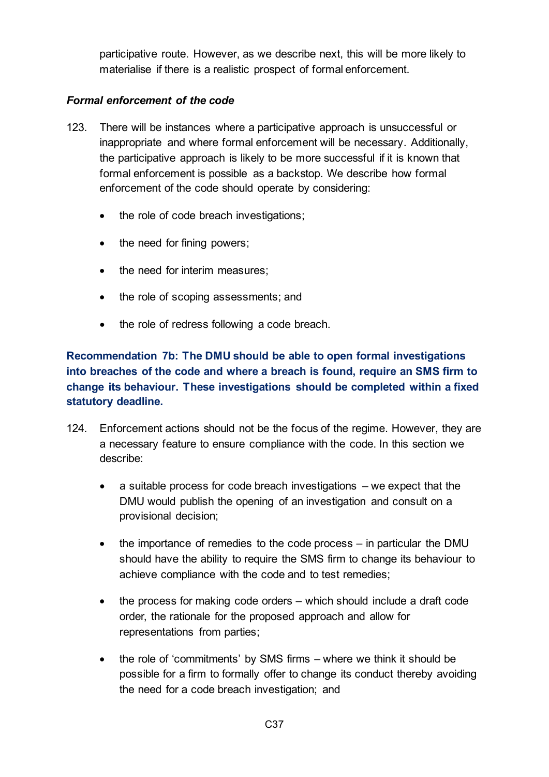participative route. However, as we describe next, this will be more likely to materialise if there is a realistic prospect of formal enforcement.

### *Formal enforcement of the code*

- 123. There will be instances where a participative approach is unsuccessful or inappropriate and where formal enforcement will be necessary. Additionally, the participative approach is likely to be more successful if it is known that formal enforcement is possible as a backstop. We describe how formal enforcement of the code should operate by considering:
	- the role of code breach investigations;
	- the need for fining powers;
	- the need for interim measures;
	- the role of scoping assessments; and
	- the role of redress following a code breach.

## **Recommendation 7b: The DMU should be able to open formal investigations into breaches of the code and where a breach is found, require an SMS firm to change its behaviour. These investigations should be completed within a fixed statutory deadline.**

- 124. Enforcement actions should not be the focus of the regime. However, they are a necessary feature to ensure compliance with the code. In this section we describe:
	- a suitable process for code breach investigations we expect that the DMU would publish the opening of an investigation and consult on a provisional decision;
	- the importance of remedies to the code process in particular the DMU should have the ability to require the SMS firm to change its behaviour to achieve compliance with the code and to test remedies;
	- the process for making code orders which should include a draft code order, the rationale for the proposed approach and allow for representations from parties;
	- the role of 'commitments' by SMS firms where we think it should be possible for a firm to formally offer to change its conduct thereby avoiding the need for a code breach investigation; and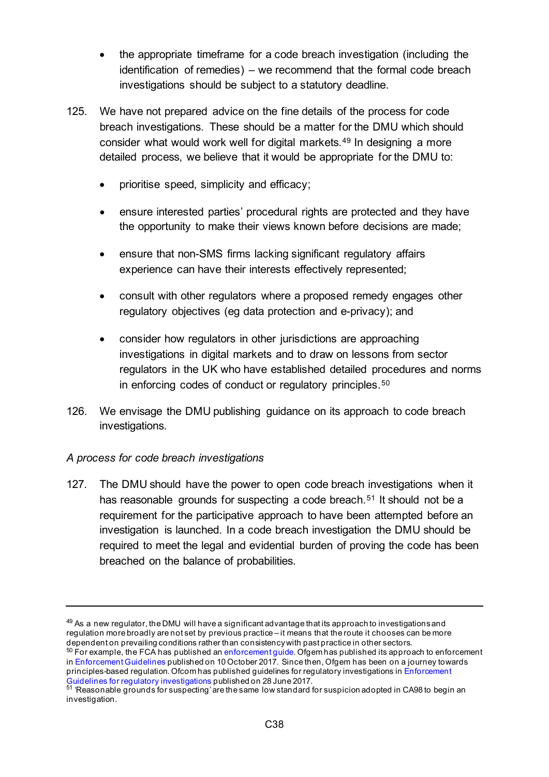- the appropriate timeframe for a code breach investigation (including the identification of remedies) – we recommend that the formal code breach investigations should be subject to a statutory deadline.
- 125. We have not prepared advice on the fine details of the process for code breach investigations. These should be a matter for the DMU which should consider what would work well for digital markets.[49](#page-37-0) In designing a more detailed process, we believe that it would be appropriate for the DMU to:
	- prioritise speed, simplicity and efficacy;
	- ensure interested parties' procedural rights are protected and they have the opportunity to make their views known before decisions are made;
	- ensure that non-SMS firms lacking significant regulatory affairs experience can have their interests effectively represented;
	- consult with other regulators where a proposed remedy engages other regulatory objectives (eg data protection and e-privacy); and
	- consider how regulators in other jurisdictions are approaching investigations in digital markets and to draw on lessons from sector regulators in the UK who have established detailed procedures and norms in enforcing codes of conduct or regulatory principles.<sup>[50](#page-37-1)</sup>
- 126. We envisage the DMU publishing guidance on its approach to code breach investigations.

### *A process for code breach investigations*

127. The DMU should have the power to open code breach investigations when it has reasonable grounds for suspecting a code breach.<sup>[51](#page-37-2)</sup> It should not be a requirement for the participative approach to have been attempted before an investigation is launched. In a code breach investigation the DMU should be required to meet the legal and evidential burden of proving the code has been breached on the balance of probabilities.

<span id="page-37-0"></span> $49$  As a new regulator, the DMU will have a significant advantage that its approach to investigations and regulation more broadly are not set by previous practice – it means that the route it chooses can be more dependent on prevailing conditions rather than consistency with past practice in other sectors.

<span id="page-37-1"></span> $50$  For example, the FCA has published a[n enforcement guide.](https://www.handbook.fca.org.uk/handbook/document/EG_Full_20140401.pdf) Ofgem has published its approach to enforcement i[n Enforcement Guidelines](https://www.ofgem.gov.uk/system/files/docs/2017/10/enforcement_guidelines_october_2017.pdf) published on 10 October 2017. Since then, Ofgem has been on a journey towards principles-based regulation. Ofcom has published guidelines for regulatory investigations i[n Enforcement](https://www.ofcom.org.uk/__data/assets/pdf_file/0015/102516/Enforcement-guidelines-for-regulatory-investigations.pdf)  [Guidelines for regulatory investigations](https://www.ofcom.org.uk/__data/assets/pdf_file/0015/102516/Enforcement-guidelines-for-regulatory-investigations.pdf) published on 28 June 2017.

<span id="page-37-2"></span> $^{51}$  'Reasonable grounds for suspecting' are the same low standard for suspicion adopted in CA98 to begin an  $\,$ investigation.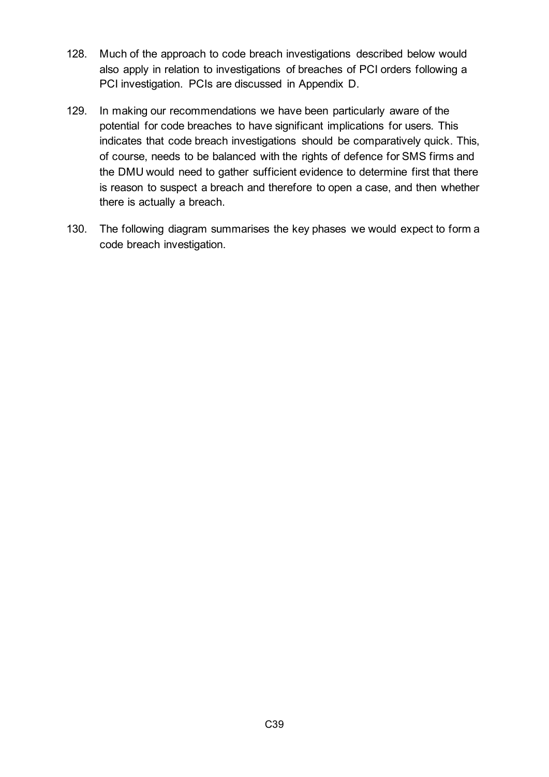- 128. Much of the approach to code breach investigations described below would also apply in relation to investigations of breaches of PCI orders following a PCI investigation. PCIs are discussed in Appendix D.
- 129. In making our recommendations we have been particularly aware of the potential for code breaches to have significant implications for users. This indicates that code breach investigations should be comparatively quick. This, of course, needs to be balanced with the rights of defence for SMS firms and the DMU would need to gather sufficient evidence to determine first that there is reason to suspect a breach and therefore to open a case, and then whether there is actually a breach.
- 130. The following diagram summarises the key phases we would expect to form a code breach investigation.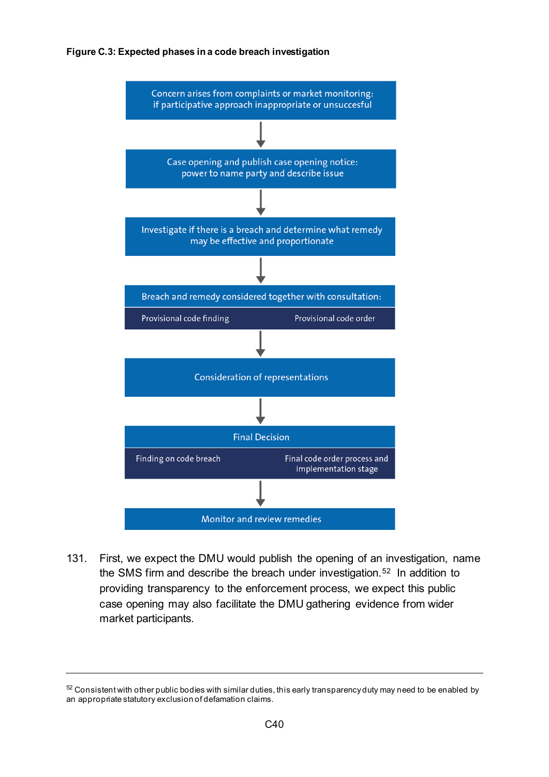#### **Figure C.3: Expected phases in a code breach investigation**



131. First, we expect the DMU would publish the opening of an investigation, name the SMS firm and describe the breach under investigation.[52](#page-39-0) In addition to providing transparency to the enforcement process, we expect this public case opening may also facilitate the DMU gathering evidence from wider market participants.

<span id="page-39-0"></span> $52$  Consistent with other public bodies with similar duties, this early transparency duty may need to be enabled by an appropriate statutory exclusion of defamation claims.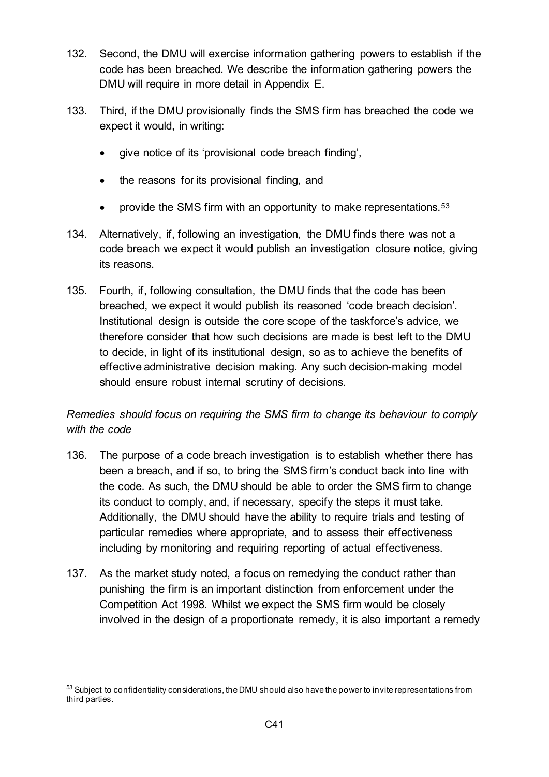- 132. Second, the DMU will exercise information gathering powers to establish if the code has been breached. We describe the information gathering powers the DMU will require in more detail in Appendix E.
- 133. Third, if the DMU provisionally finds the SMS firm has breached the code we expect it would, in writing:
	- give notice of its 'provisional code breach finding',
	- the reasons for its provisional finding, and
	- provide the SMS firm with an opportunity to make representations.[53](#page-40-0)
- 134. Alternatively, if, following an investigation, the DMU finds there was not a code breach we expect it would publish an investigation closure notice, giving its reasons.
- 135. Fourth, if, following consultation, the DMU finds that the code has been breached, we expect it would publish its reasoned 'code breach decision'. Institutional design is outside the core scope of the taskforce's advice, we therefore consider that how such decisions are made is best left to the DMU to decide, in light of its institutional design, so as to achieve the benefits of effective administrative decision making. Any such decision-making model should ensure robust internal scrutiny of decisions.

# *Remedies should focus on requiring the SMS firm to change its behaviour to comply with the code*

- 136. The purpose of a code breach investigation is to establish whether there has been a breach, and if so, to bring the SMS firm's conduct back into line with the code. As such, the DMU should be able to order the SMS firm to change its conduct to comply, and, if necessary, specify the steps it must take. Additionally, the DMU should have the ability to require trials and testing of particular remedies where appropriate, and to assess their effectiveness including by monitoring and requiring reporting of actual effectiveness.
- 137. As the market study noted, a focus on remedying the conduct rather than punishing the firm is an important distinction from enforcement under the Competition Act 1998. Whilst we expect the SMS firm would be closely involved in the design of a proportionate remedy, it is also important a remedy

<span id="page-40-0"></span><sup>53</sup> Subject to confidentiality considerations, the DMU should also have the power to invite representations from third parties.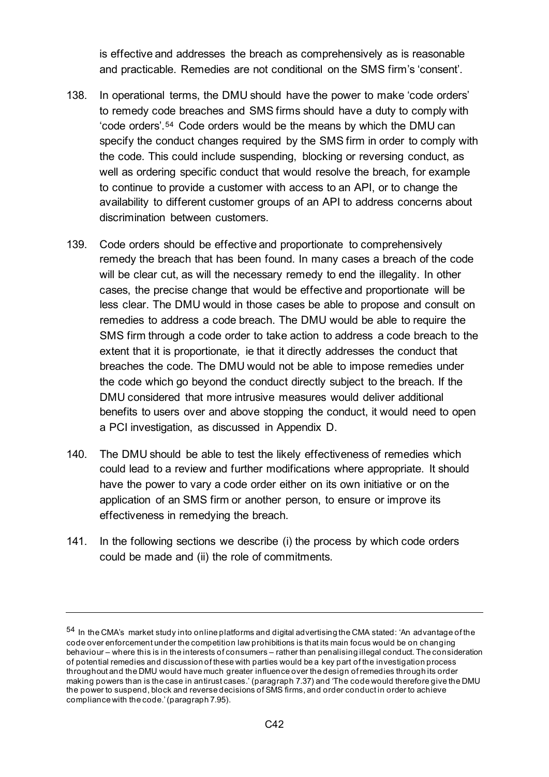is effective and addresses the breach as comprehensively as is reasonable and practicable. Remedies are not conditional on the SMS firm's 'consent'.

- 138. In operational terms, the DMU should have the power to make 'code orders' to remedy code breaches and SMS firms should have a duty to comply with 'code orders'.[54](#page-41-0) Code orders would be the means by which the DMU can specify the conduct changes required by the SMS firm in order to comply with the code. This could include suspending, blocking or reversing conduct, as well as ordering specific conduct that would resolve the breach, for example to continue to provide a customer with access to an API, or to change the availability to different customer groups of an API to address concerns about discrimination between customers.
- 139. Code orders should be effective and proportionate to comprehensively remedy the breach that has been found. In many cases a breach of the code will be clear cut, as will the necessary remedy to end the illegality. In other cases, the precise change that would be effective and proportionate will be less clear. The DMU would in those cases be able to propose and consult on remedies to address a code breach. The DMU would be able to require the SMS firm through a code order to take action to address a code breach to the extent that it is proportionate, ie that it directly addresses the conduct that breaches the code. The DMU would not be able to impose remedies under the code which go beyond the conduct directly subject to the breach. If the DMU considered that more intrusive measures would deliver additional benefits to users over and above stopping the conduct, it would need to open a PCI investigation, as discussed in Appendix D.
- 140. The DMU should be able to test the likely effectiveness of remedies which could lead to a review and further modifications where appropriate. It should have the power to vary a code order either on its own initiative or on the application of an SMS firm or another person, to ensure or improve its effectiveness in remedying the breach.
- 141. In the following sections we describe (i) the process by which code orders could be made and (ii) the role of commitments.

<span id="page-41-0"></span><sup>54</sup> In the CMA's market study into online platforms and digital advertising the CMA stated: 'An advantage of the code over enforcement under the competition law prohibitions is that its main focus would be on changing behaviour – where this is in the interests of consumers – rather than penalising illegal conduct. The consideration of potential remedies and discussion of these with parties would be a key part of the investigation process throughout and the DMU would have much greater influence over the design of remedies through its order making powers than is the case in antirust cases.' (paragraph 7.37) and 'The code would therefore give the DMU the power to suspend, block and reverse decisions of SMS firms, and order conduct in order to achieve compliance with the code.'(paragraph 7.95).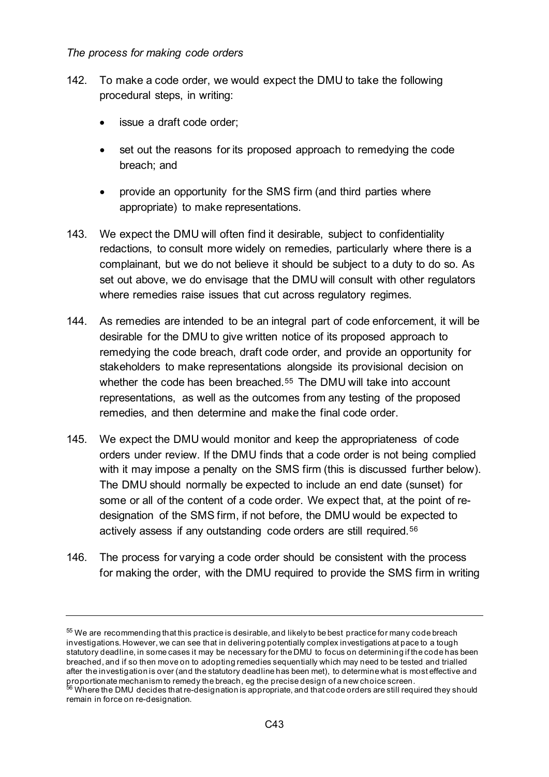#### *The process for making code orders*

- 142. To make a code order, we would expect the DMU to take the following procedural steps, in writing:
	- issue a draft code order;
	- set out the reasons for its proposed approach to remedying the code breach; and
	- provide an opportunity for the SMS firm (and third parties where appropriate) to make representations.
- 143. We expect the DMU will often find it desirable, subject to confidentiality redactions, to consult more widely on remedies, particularly where there is a complainant, but we do not believe it should be subject to a duty to do so. As set out above, we do envisage that the DMU will consult with other regulators where remedies raise issues that cut across regulatory regimes.
- 144. As remedies are intended to be an integral part of code enforcement, it will be desirable for the DMU to give written notice of its proposed approach to remedying the code breach, draft code order, and provide an opportunity for stakeholders to make representations alongside its provisional decision on whether the code has been breached.<sup>[55](#page-42-0)</sup> The DMU will take into account representations, as well as the outcomes from any testing of the proposed remedies, and then determine and make the final code order.
- 145. We expect the DMU would monitor and keep the appropriateness of code orders under review. If the DMU finds that a code order is not being complied with it may impose a penalty on the SMS firm (this is discussed further below). The DMU should normally be expected to include an end date (sunset) for some or all of the content of a code order. We expect that, at the point of redesignation of the SMS firm, if not before, the DMU would be expected to actively assess if any outstanding code orders are still required.[56](#page-42-1)
- 146. The process for varying a code order should be consistent with the process for making the order, with the DMU required to provide the SMS firm in writing

<span id="page-42-0"></span><sup>55</sup> We are recommending that this practice is desirable, and likely to be best practice for many code breach investigations. However, we can see that in delivering potentially complex investigations at pace to a tough statutory deadline, in some cases it may be necessary for the DMU to focus on determining if the code has been breached, and if so then move on to adopting remedies sequentially which may need to be tested and trialled after the investigation is over (and the statutory deadline has been met), to determine what is most effective and proportionate mechanism to remedy the breach, eg the precise design of a new choice screen.<br><sup>56</sup> Where the DMU decides that re-designation is appropriate, and that code orders are still required they should

<span id="page-42-1"></span>remain in force on re-designation.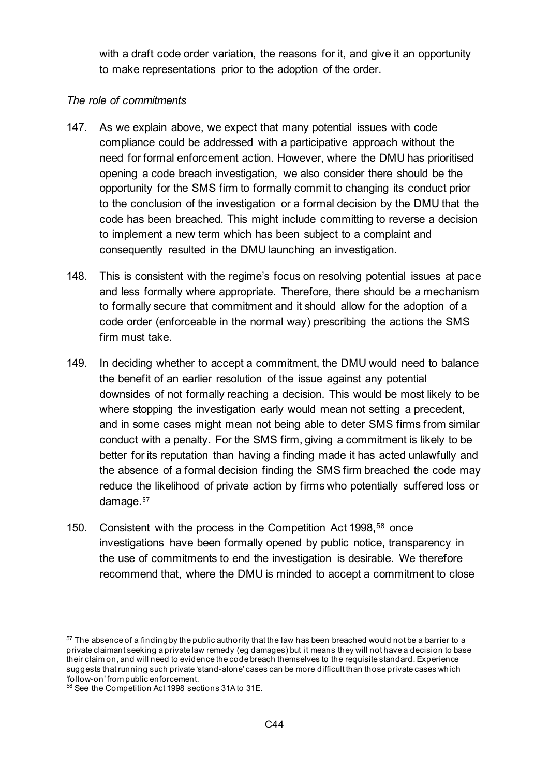with a draft code order variation, the reasons for it, and give it an opportunity to make representations prior to the adoption of the order.

### *The role of commitments*

- 147. As we explain above, we expect that many potential issues with code compliance could be addressed with a participative approach without the need for formal enforcement action. However, where the DMU has prioritised opening a code breach investigation, we also consider there should be the opportunity for the SMS firm to formally commit to changing its conduct prior to the conclusion of the investigation or a formal decision by the DMU that the code has been breached. This might include committing to reverse a decision to implement a new term which has been subject to a complaint and consequently resulted in the DMU launching an investigation.
- 148. This is consistent with the regime's focus on resolving potential issues at pace and less formally where appropriate. Therefore, there should be a mechanism to formally secure that commitment and it should allow for the adoption of a code order (enforceable in the normal way) prescribing the actions the SMS firm must take.
- 149. In deciding whether to accept a commitment, the DMU would need to balance the benefit of an earlier resolution of the issue against any potential downsides of not formally reaching a decision. This would be most likely to be where stopping the investigation early would mean not setting a precedent, and in some cases might mean not being able to deter SMS firms from similar conduct with a penalty. For the SMS firm, giving a commitment is likely to be better for its reputation than having a finding made it has acted unlawfully and the absence of a formal decision finding the SMS firm breached the code may reduce the likelihood of private action by firms who potentially suffered loss or damage.<sup>[57](#page-43-0)</sup>
- 150. Consistent with the process in the Competition Act 1998,<sup>[58](#page-43-1)</sup> once investigations have been formally opened by public notice, transparency in the use of commitments to end the investigation is desirable. We therefore recommend that, where the DMU is minded to accept a commitment to close

<span id="page-43-0"></span> $57$  The absence of a finding by the public authority that the law has been breached would not be a barrier to a private claimant seeking a private law remedy (eg damages) but it means they will not have a decision to base their claim on, and will need to evidence the code breach themselves to the requisite standard. Experience suggests that running such private 'stand-alone' cases can be more difficult than those private cases which 'follow-on' from public enforcement.

<span id="page-43-1"></span><sup>58</sup> See the Competition Act 1998 sections 31A to 31E.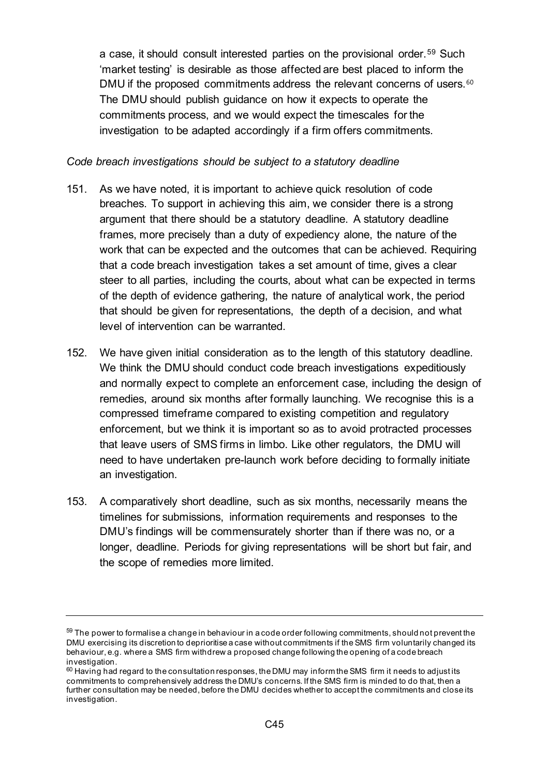a case, it should consult interested parties on the provisional order.[59](#page-44-0) Such 'market testing' is desirable as those affected are best placed to inform the DMU if the proposed commitments address the relevant concerns of users.<sup>[60](#page-44-1)</sup> The DMU should publish guidance on how it expects to operate the commitments process, and we would expect the timescales for the investigation to be adapted accordingly if a firm offers commitments.

#### *Code breach investigations should be subject to a statutory deadline*

- 151. As we have noted, it is important to achieve quick resolution of code breaches. To support in achieving this aim, we consider there is a strong argument that there should be a statutory deadline. A statutory deadline frames, more precisely than a duty of expediency alone, the nature of the work that can be expected and the outcomes that can be achieved. Requiring that a code breach investigation takes a set amount of time, gives a clear steer to all parties, including the courts, about what can be expected in terms of the depth of evidence gathering, the nature of analytical work, the period that should be given for representations, the depth of a decision, and what level of intervention can be warranted.
- 152. We have given initial consideration as to the length of this statutory deadline. We think the DMU should conduct code breach investigations expeditiously and normally expect to complete an enforcement case, including the design of remedies, around six months after formally launching. We recognise this is a compressed timeframe compared to existing competition and regulatory enforcement, but we think it is important so as to avoid protracted processes that leave users of SMS firms in limbo. Like other regulators, the DMU will need to have undertaken pre-launch work before deciding to formally initiate an investigation.
- 153. A comparatively short deadline, such as six months, necessarily means the timelines for submissions, information requirements and responses to the DMU's findings will be commensurately shorter than if there was no, or a longer, deadline. Periods for giving representations will be short but fair, and the scope of remedies more limited.

<span id="page-44-0"></span> $59$  The power to formalise a change in behaviour in a code order following commitments, should not prevent the DMU exercising its discretion to deprioritise a case without commitments if the SMS firm voluntarily changed its behaviour, e.g. where a SMS firm withdrew a proposed change following the opening of a code breach

<span id="page-44-1"></span> $60$  Having had regard to the consultation responses, the DMU may inform the SMS firm it needs to adjust its commitments to comprehensively address the DMU's concerns. If the SMS firm is minded to do that, then a further consultation may be needed, before the DMU decides whether to accept the commitments and close its investigation.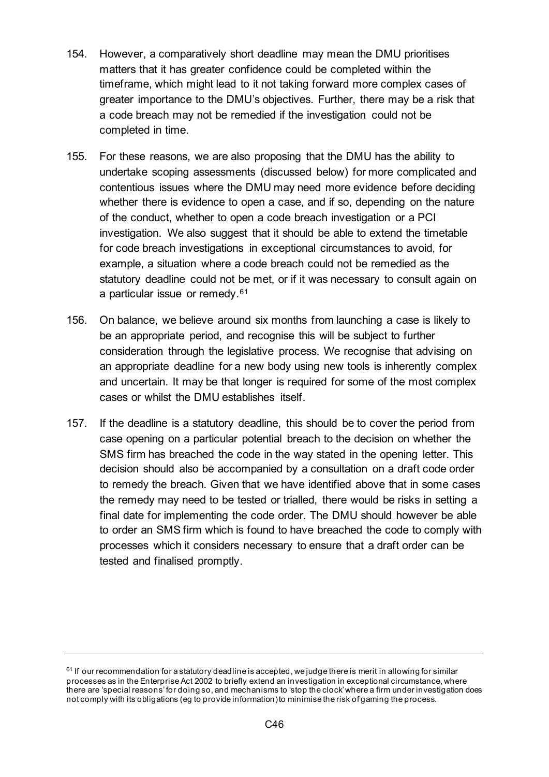- 154. However, a comparatively short deadline may mean the DMU prioritises matters that it has greater confidence could be completed within the timeframe, which might lead to it not taking forward more complex cases of greater importance to the DMU's objectives. Further, there may be a risk that a code breach may not be remedied if the investigation could not be completed in time.
- 155. For these reasons, we are also proposing that the DMU has the ability to undertake scoping assessments (discussed below) for more complicated and contentious issues where the DMU may need more evidence before deciding whether there is evidence to open a case, and if so, depending on the nature of the conduct, whether to open a code breach investigation or a PCI investigation. We also suggest that it should be able to extend the timetable for code breach investigations in exceptional circumstances to avoid, for example, a situation where a code breach could not be remedied as the statutory deadline could not be met, or if it was necessary to consult again on a particular issue or remedy.[61](#page-45-0)
- 156. On balance, we believe around six months from launching a case is likely to be an appropriate period, and recognise this will be subject to further consideration through the legislative process. We recognise that advising on an appropriate deadline for a new body using new tools is inherently complex and uncertain. It may be that longer is required for some of the most complex cases or whilst the DMU establishes itself.
- 157. If the deadline is a statutory deadline, this should be to cover the period from case opening on a particular potential breach to the decision on whether the SMS firm has breached the code in the way stated in the opening letter. This decision should also be accompanied by a consultation on a draft code order to remedy the breach. Given that we have identified above that in some cases the remedy may need to be tested or trialled, there would be risks in setting a final date for implementing the code order. The DMU should however be able to order an SMS firm which is found to have breached the code to comply with processes which it considers necessary to ensure that a draft order can be tested and finalised promptly.

<span id="page-45-0"></span> $61$  If our recommendation for a statutory deadline is accepted, we judge there is merit in allowing for similar processes as in the Enterprise Act 2002 to briefly extend an investigation in exceptional circumstance, where there are 'special reasons' for doing so, and mechanisms to 'stop the clock' where a firm under investigation does not comply with its obligations (eg to provide information) to minimise the risk of gaming the process.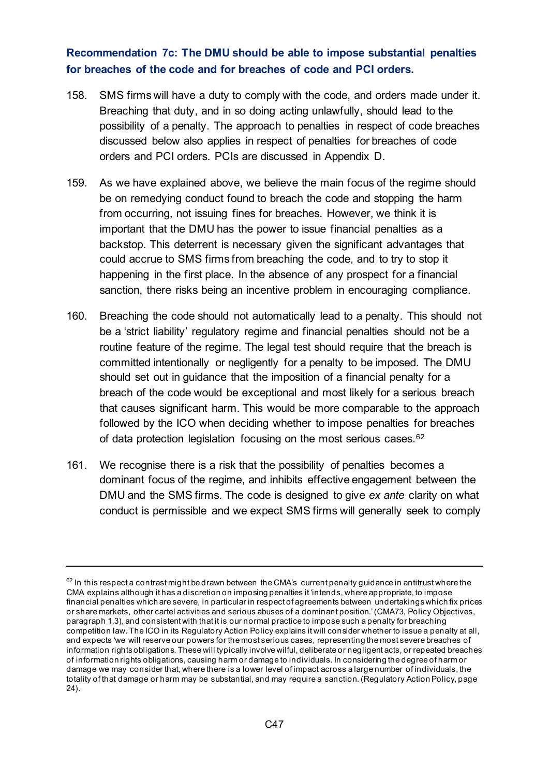## **Recommendation 7c: The DMU should be able to impose substantial penalties for breaches of the code and for breaches of code and PCI orders.**

- 158. SMS firms will have a duty to comply with the code, and orders made under it. Breaching that duty, and in so doing acting unlawfully, should lead to the possibility of a penalty. The approach to penalties in respect of code breaches discussed below also applies in respect of penalties for breaches of code orders and PCI orders. PCIs are discussed in Appendix D.
- 159. As we have explained above, we believe the main focus of the regime should be on remedying conduct found to breach the code and stopping the harm from occurring, not issuing fines for breaches. However, we think it is important that the DMU has the power to issue financial penalties as a backstop. This deterrent is necessary given the significant advantages that could accrue to SMS firms from breaching the code, and to try to stop it happening in the first place. In the absence of any prospect for a financial sanction, there risks being an incentive problem in encouraging compliance.
- 160. Breaching the code should not automatically lead to a penalty. This should not be a 'strict liability' regulatory regime and financial penalties should not be a routine feature of the regime. The legal test should require that the breach is committed intentionally or negligently for a penalty to be imposed. The DMU should set out in guidance that the imposition of a financial penalty for a breach of the code would be exceptional and most likely for a serious breach that causes significant harm. This would be more comparable to the approach followed by the ICO when deciding whether to impose penalties for breaches of data protection legislation focusing on the most serious cases.<sup>62</sup>
- 161. We recognise there is a risk that the possibility of penalties becomes a dominant focus of the regime, and inhibits effective engagement between the DMU and the SMS firms. The code is designed to give *ex ante* clarity on what conduct is permissible and we expect SMS firms will generally seek to comply

<span id="page-46-0"></span> $62$  In this respect a contrast might be drawn between the CMA's current penalty guidance in antitrust where the CMA explains although it has a discretion on imposing penalties it 'intends, where appropriate, to impose financial penalties which are severe, in particular in respect of agreements between undertakings which fix prices or share markets, other cartel activities and serious abuses of a dominant position.' (CMA73, Policy Objectives, paragraph 1.3), and consistent with that it is our normal practice to impose such a penalty for breaching competition law. The ICO in its Regulatory Action Policy explains it will consider whether to issue a penalty at all, and expects 'we will reserve our powers for the most serious cases, representing the most severe breaches of information rights obligations. These will typically involve wilful, deliberate or negligent acts, or repeated breaches of information rights obligations, causing harm or damage to individuals. In considering the degree of harm or damage we may consider that, where there is a lower level of impact across a large number of individuals, the totality of that damage or harm may be substantial, and may require a sanction. (Regulatory Action Policy, page 24).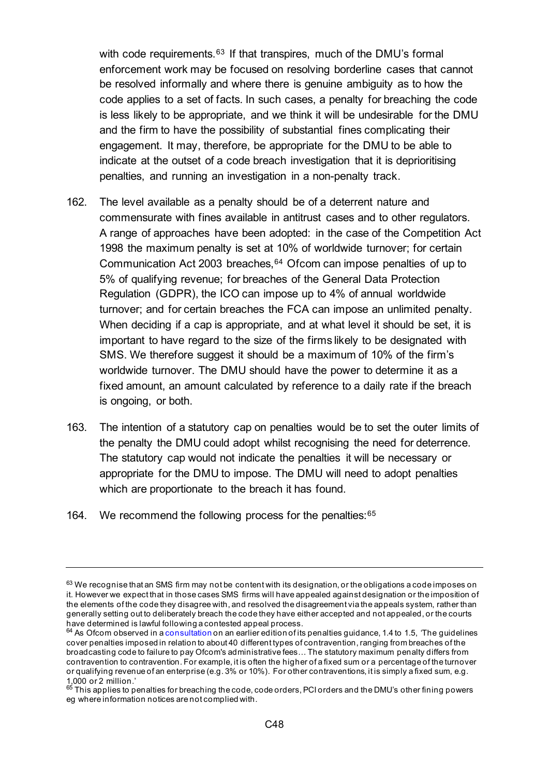with code requirements.<sup>[63](#page-47-0)</sup> If that transpires, much of the DMU's formal enforcement work may be focused on resolving borderline cases that cannot be resolved informally and where there is genuine ambiguity as to how the code applies to a set of facts. In such cases, a penalty for breaching the code is less likely to be appropriate, and we think it will be undesirable for the DMU and the firm to have the possibility of substantial fines complicating their engagement. It may, therefore, be appropriate for the DMU to be able to indicate at the outset of a code breach investigation that it is deprioritising penalties, and running an investigation in a non-penalty track.

- 162. The level available as a penalty should be of a deterrent nature and commensurate with fines available in antitrust cases and to other regulators. A range of approaches have been adopted: in the case of the Competition Act 1998 the maximum penalty is set at 10% of worldwide turnover; for certain Communication Act 2003 breaches,[64](#page-47-1) Ofcom can impose penalties of up to 5% of qualifying revenue; for breaches of the General Data Protection Regulation (GDPR), the ICO can impose up to 4% of annual worldwide turnover; and for certain breaches the FCA can impose an unlimited penalty. When deciding if a cap is appropriate, and at what level it should be set, it is important to have regard to the size of the firms likely to be designated with SMS. We therefore suggest it should be a maximum of 10% of the firm's worldwide turnover. The DMU should have the power to determine it as a fixed amount, an amount calculated by reference to a daily rate if the breach is ongoing, or both.
- 163. The intention of a statutory cap on penalties would be to set the outer limits of the penalty the DMU could adopt whilst recognising the need for deterrence. The statutory cap would not indicate the penalties it will be necessary or appropriate for the DMU to impose. The DMU will need to adopt penalties which are proportionate to the breach it has found.
- 164. We recommend the following process for the penalties: [65](#page-47-2)

<span id="page-47-0"></span> $63$  We recognise that an SMS firm may not be content with its designation, or the obligations a code imposes on it. However we expect that in those cases SMS firms will have appealed against designation or the imposition of the elements of the code they disagree with, and resolved the disagreement via the appeals system, rather than generally setting out to deliberately breach the code they have either accepted and not appealed, or the courts have determined is lawful following a contested appeal process.

<span id="page-47-1"></span> $64$  As Ofcom observed in a [consultation](https://www.ofcom.org.uk/consultations-and-statements/category-2/penalty-guidelines) on an earlier edition of its penalties guidance, 1.4 to 1.5, 'The guidelines cover penalties imposed in relation to about 40 different types of contravention, ranging from breaches of the broadcasting code to failure to pay Ofcom's administrative fees… The statutory maximum penalty differs from contravention to contravention. For example, it is often the higher of a fixed sum or a percentage of the turnover or qualifying revenue of an enterprise (e.g. 3% or 10%). For other contraventions, it is simply a fixed sum, e.g. 1,000 or 2 million.'

<span id="page-47-2"></span> $^{65}$  This applies to penalties for breaching the code, code orders, PCI orders and the DMU's other fining powers eg where information notices are not complied with.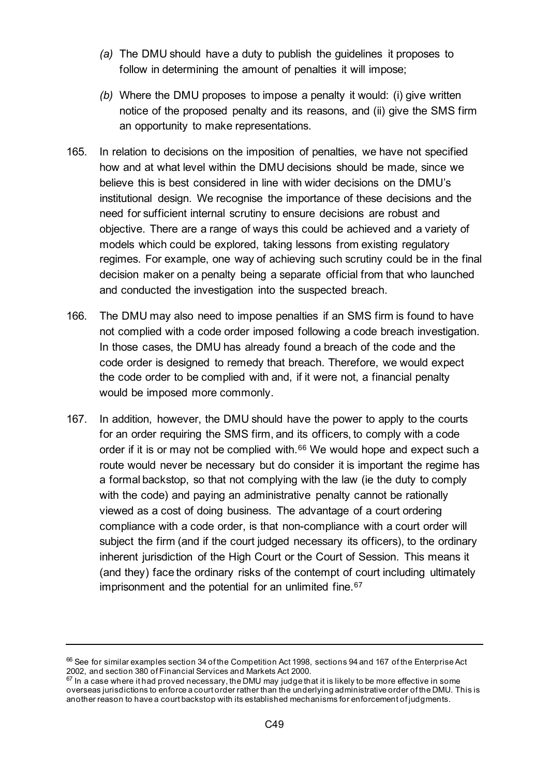- *(a)* The DMU should have a duty to publish the guidelines it proposes to follow in determining the amount of penalties it will impose;
- *(b)* Where the DMU proposes to impose a penalty it would: (i) give written notice of the proposed penalty and its reasons, and (ii) give the SMS firm an opportunity to make representations.
- 165. In relation to decisions on the imposition of penalties, we have not specified how and at what level within the DMU decisions should be made, since we believe this is best considered in line with wider decisions on the DMU's institutional design. We recognise the importance of these decisions and the need for sufficient internal scrutiny to ensure decisions are robust and objective. There are a range of ways this could be achieved and a variety of models which could be explored, taking lessons from existing regulatory regimes. For example, one way of achieving such scrutiny could be in the final decision maker on a penalty being a separate official from that who launched and conducted the investigation into the suspected breach.
- 166. The DMU may also need to impose penalties if an SMS firm is found to have not complied with a code order imposed following a code breach investigation. In those cases, the DMU has already found a breach of the code and the code order is designed to remedy that breach. Therefore, we would expect the code order to be complied with and, if it were not, a financial penalty would be imposed more commonly.
- 167. In addition, however, the DMU should have the power to apply to the courts for an order requiring the SMS firm, and its officers, to comply with a code order if it is or may not be complied with.<sup>[66](#page-48-0)</sup> We would hope and expect such a route would never be necessary but do consider it is important the regime has a formal backstop, so that not complying with the law (ie the duty to comply with the code) and paying an administrative penalty cannot be rationally viewed as a cost of doing business. The advantage of a court ordering compliance with a code order, is that non-compliance with a court order will subject the firm (and if the court judged necessary its officers), to the ordinary inherent jurisdiction of the High Court or the Court of Session. This means it (and they) face the ordinary risks of the contempt of court including ultimately imprisonment and the potential for an unlimited fine.<sup>[67](#page-48-1)</sup>

<span id="page-48-0"></span> $^{66}$  See for similar examples section 34 of the Competition Act 1998, sections 94 and 167 of the Enterprise Act 2002, and section 380 of Financial Services and Markets Act 2000.

<span id="page-48-1"></span> $\frac{2000}{67}$  In a case where it had proved necessary, the DMU may judge that it is likely to be more effective in some overseas jurisdictions to enforce a court order rather than the underlying administrative order of the DMU. This is another reason to have a court backstop with its established mechanisms for enforcement of judgments.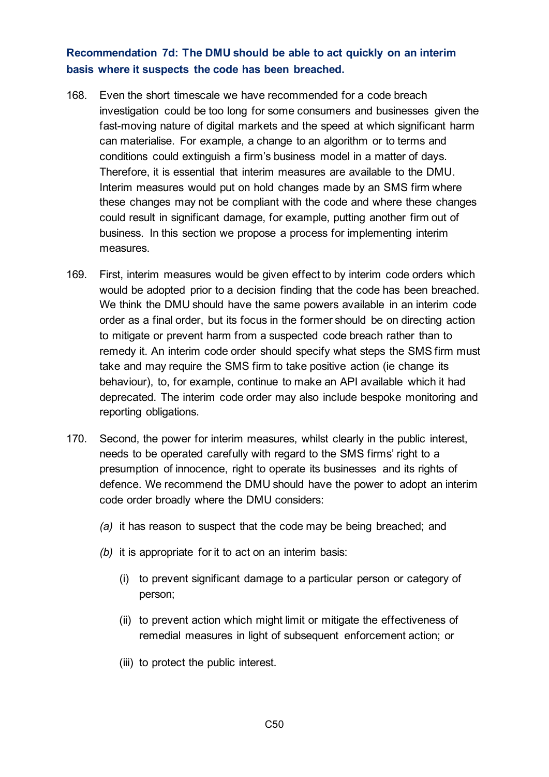## **Recommendation 7d: The DMU should be able to act quickly on an interim basis where it suspects the code has been breached.**

- 168. Even the short timescale we have recommended for a code breach investigation could be too long for some consumers and businesses given the fast-moving nature of digital markets and the speed at which significant harm can materialise. For example, a change to an algorithm or to terms and conditions could extinguish a firm's business model in a matter of days. Therefore, it is essential that interim measures are available to the DMU. Interim measures would put on hold changes made by an SMS firm where these changes may not be compliant with the code and where these changes could result in significant damage, for example, putting another firm out of business. In this section we propose a process for implementing interim measures.
- 169. First, interim measures would be given effect to by interim code orders which would be adopted prior to a decision finding that the code has been breached. We think the DMU should have the same powers available in an interim code order as a final order, but its focus in the former should be on directing action to mitigate or prevent harm from a suspected code breach rather than to remedy it. An interim code order should specify what steps the SMS firm must take and may require the SMS firm to take positive action (ie change its behaviour), to, for example, continue to make an API available which it had deprecated. The interim code order may also include bespoke monitoring and reporting obligations.
- 170. Second, the power for interim measures, whilst clearly in the public interest, needs to be operated carefully with regard to the SMS firms' right to a presumption of innocence, right to operate its businesses and its rights of defence. We recommend the DMU should have the power to adopt an interim code order broadly where the DMU considers:
	- *(a)* it has reason to suspect that the code may be being breached; and
	- *(b)* it is appropriate for it to act on an interim basis:
		- (i) to prevent significant damage to a particular person or category of person;
		- (ii) to prevent action which might limit or mitigate the effectiveness of remedial measures in light of subsequent enforcement action; or
		- (iii) to protect the public interest.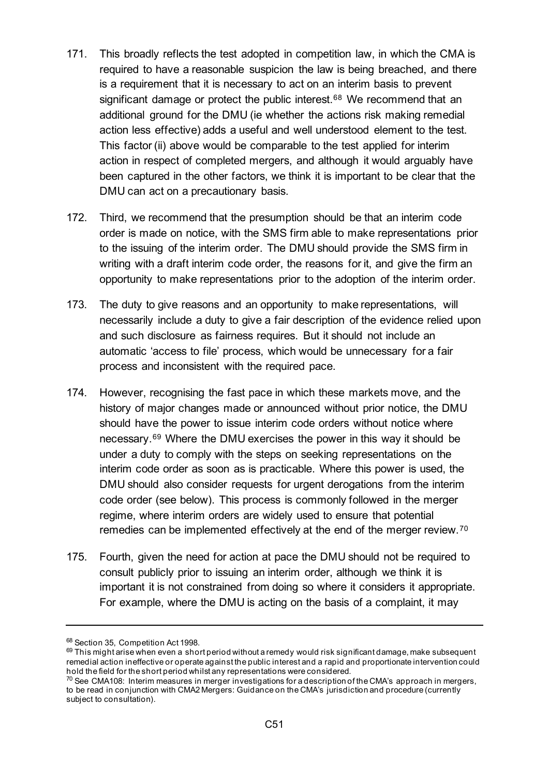- 171. This broadly reflects the test adopted in competition law, in which the CMA is required to have a reasonable suspicion the law is being breached, and there is a requirement that it is necessary to act on an interim basis to prevent significant damage or protect the public interest.<sup>[68](#page-50-0)</sup> We recommend that an additional ground for the DMU (ie whether the actions risk making remedial action less effective) adds a useful and well understood element to the test. This factor (ii) above would be comparable to the test applied for interim action in respect of completed mergers, and although it would arguably have been captured in the other factors, we think it is important to be clear that the DMU can act on a precautionary basis.
- 172. Third, we recommend that the presumption should be that an interim code order is made on notice, with the SMS firm able to make representations prior to the issuing of the interim order. The DMU should provide the SMS firm in writing with a draft interim code order, the reasons for it, and give the firm an opportunity to make representations prior to the adoption of the interim order.
- 173. The duty to give reasons and an opportunity to make representations, will necessarily include a duty to give a fair description of the evidence relied upon and such disclosure as fairness requires. But it should not include an automatic 'access to file' process, which would be unnecessary for a fair process and inconsistent with the required pace.
- 174. However, recognising the fast pace in which these markets move, and the history of major changes made or announced without prior notice, the DMU should have the power to issue interim code orders without notice where necessary.[69](#page-50-1) Where the DMU exercises the power in this way it should be under a duty to comply with the steps on seeking representations on the interim code order as soon as is practicable. Where this power is used, the DMU should also consider requests for urgent derogations from the interim code order (see below). This process is commonly followed in the merger regime, where interim orders are widely used to ensure that potential remedies can be implemented effectively at the end of the merger review.[70](#page-50-2)
- 175. Fourth, given the need for action at pace the DMU should not be required to consult publicly prior to issuing an interim order, although we think it is important it is not constrained from doing so where it considers it appropriate. For example, where the DMU is acting on the basis of a complaint, it may

<span id="page-50-0"></span><sup>68</sup> Section 35, Competition Act 1998.

<span id="page-50-1"></span> $69$  This might arise when even a short period without a remedy would risk significant damage, make subsequent remedial action ineffective or operate against the public interest and a rapid and proportionate intervention could hold the field for the short period whilst any representations were considered.

<span id="page-50-2"></span> $70$  See CMA108: Interim measures in merger investigations for a description of the CMA's approach in mergers, to be read in conjunction with CMA2 Mergers: Guidance on the CMA's jurisdiction and procedure (currently subject to consultation).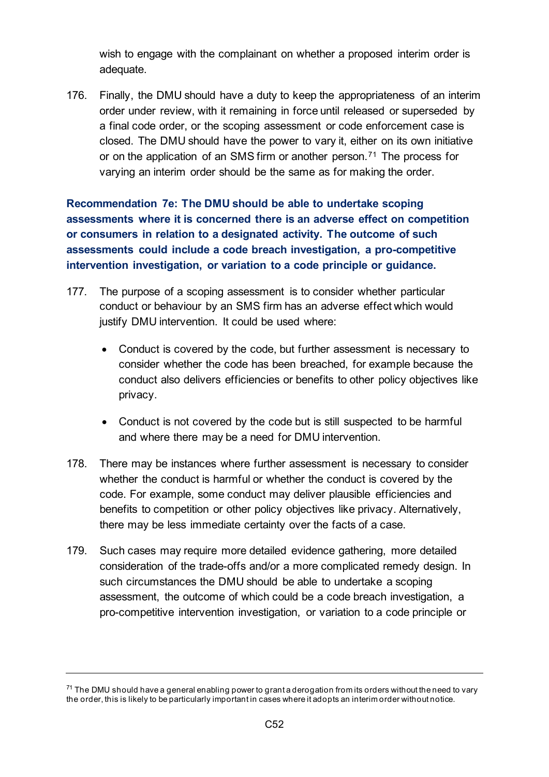wish to engage with the complainant on whether a proposed interim order is adequate.

176. Finally, the DMU should have a duty to keep the appropriateness of an interim order under review, with it remaining in force until released or superseded by a final code order, or the scoping assessment or code enforcement case is closed. The DMU should have the power to vary it, either on its own initiative or on the application of an SMS firm or another person.<sup>[71](#page-51-0)</sup> The process for varying an interim order should be the same as for making the order.

**Recommendation 7e: The DMU should be able to undertake scoping assessments where it is concerned there is an adverse effect on competition or consumers in relation to a designated activity. The outcome of such assessments could include a code breach investigation, a pro-competitive intervention investigation, or variation to a code principle or guidance.** 

- 177. The purpose of a scoping assessment is to consider whether particular conduct or behaviour by an SMS firm has an adverse effect which would justify DMU intervention. It could be used where:
	- Conduct is covered by the code, but further assessment is necessary to consider whether the code has been breached, for example because the conduct also delivers efficiencies or benefits to other policy objectives like privacy.
	- Conduct is not covered by the code but is still suspected to be harmful and where there may be a need for DMU intervention.
- 178. There may be instances where further assessment is necessary to consider whether the conduct is harmful or whether the conduct is covered by the code. For example, some conduct may deliver plausible efficiencies and benefits to competition or other policy objectives like privacy. Alternatively, there may be less immediate certainty over the facts of a case.
- 179. Such cases may require more detailed evidence gathering, more detailed consideration of the trade-offs and/or a more complicated remedy design. In such circumstances the DMU should be able to undertake a scoping assessment, the outcome of which could be a code breach investigation, a pro-competitive intervention investigation, or variation to a code principle or

<span id="page-51-0"></span> $71$  The DMU should have a general enabling power to grant a derogation from its orders without the need to vary the order, this is likely to be particularly important in cases where it adopts an interim order without notice.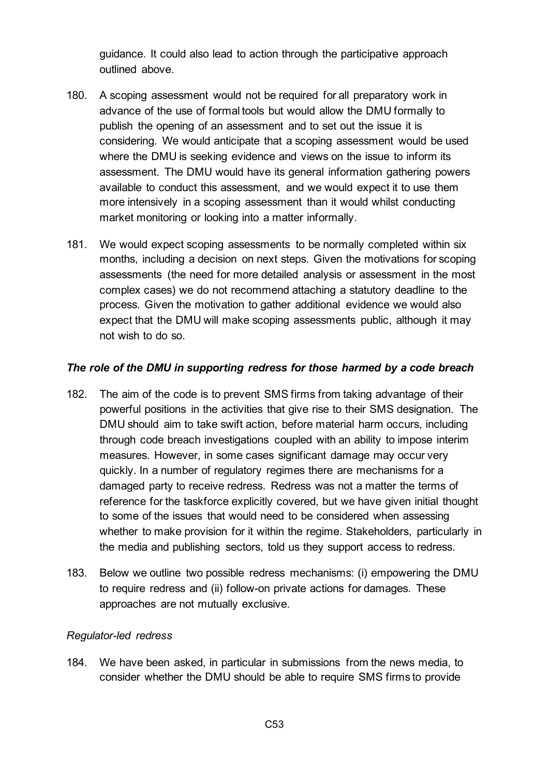guidance. It could also lead to action through the participative approach outlined above.

- 180. A scoping assessment would not be required for all preparatory work in advance of the use of formal tools but would allow the DMU formally to publish the opening of an assessment and to set out the issue it is considering. We would anticipate that a scoping assessment would be used where the DMU is seeking evidence and views on the issue to inform its assessment. The DMU would have its general information gathering powers available to conduct this assessment, and we would expect it to use them more intensively in a scoping assessment than it would whilst conducting market monitoring or looking into a matter informally.
- 181. We would expect scoping assessments to be normally completed within six months, including a decision on next steps. Given the motivations for scoping assessments (the need for more detailed analysis or assessment in the most complex cases) we do not recommend attaching a statutory deadline to the process. Given the motivation to gather additional evidence we would also expect that the DMU will make scoping assessments public, although it may not wish to do so.

#### *The role of the DMU in supporting redress for those harmed by a code breach*

- 182. The aim of the code is to prevent SMS firms from taking advantage of their powerful positions in the activities that give rise to their SMS designation. The DMU should aim to take swift action, before material harm occurs, including through code breach investigations coupled with an ability to impose interim measures. However, in some cases significant damage may occur very quickly. In a number of regulatory regimes there are mechanisms for a damaged party to receive redress. Redress was not a matter the terms of reference for the taskforce explicitly covered, but we have given initial thought to some of the issues that would need to be considered when assessing whether to make provision for it within the regime. Stakeholders, particularly in the media and publishing sectors, told us they support access to redress.
- 183. Below we outline two possible redress mechanisms: (i) empowering the DMU to require redress and (ii) follow-on private actions for damages. These approaches are not mutually exclusive.

#### *Regulator-led redress*

184. We have been asked, in particular in submissions from the news media, to consider whether the DMU should be able to require SMS firms to provide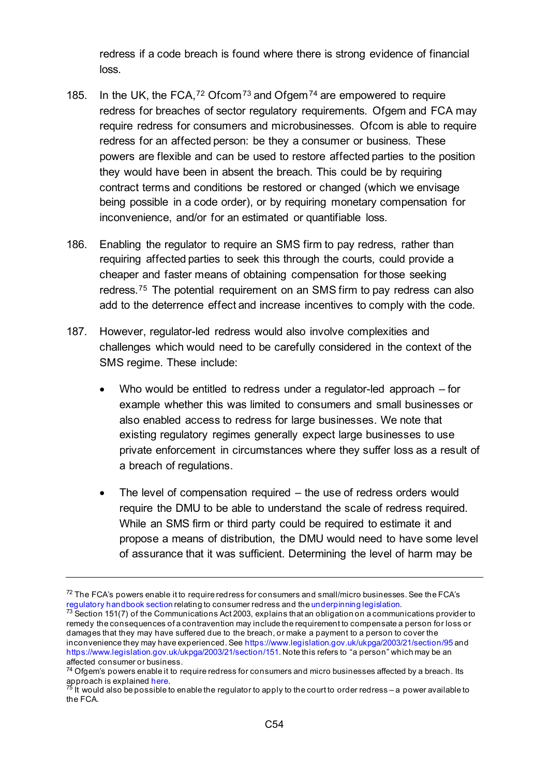redress if a code breach is found where there is strong evidence of financial loss.

- 185. In the UK, the FCA,  $72$  Ofcom  $73$  and Ofgem  $74$  are empowered to require redress for breaches of sector regulatory requirements. Ofgem and FCA may require redress for consumers and microbusinesses. Ofcom is able to require redress for an affected person: be they a consumer or business. These powers are flexible and can be used to restore affected parties to the position they would have been in absent the breach. This could be by requiring contract terms and conditions be restored or changed (which we envisage being possible in a code order), or by requiring monetary compensation for inconvenience, and/or for an estimated or quantifiable loss.
- 186. Enabling the regulator to require an SMS firm to pay redress, rather than requiring affected parties to seek this through the courts, could provide a cheaper and faster means of obtaining compensation for those seeking redress.[75](#page-53-3) The potential requirement on an SMS firm to pay redress can also add to the deterrence effect and increase incentives to comply with the code.
- 187. However, regulator-led redress would also involve complexities and challenges which would need to be carefully considered in the context of the SMS regime. These include:
	- Who would be entitled to redress under a regulator-led approach  $-$  for example whether this was limited to consumers and small businesses or also enabled access to redress for large businesses. We note that existing regulatory regimes generally expect large businesses to use private enforcement in circumstances where they suffer loss as a result of a breach of regulations.
	- The level of compensation required  $-$  the use of redress orders would require the DMU to be able to understand the scale of redress required. While an SMS firm or third party could be required to estimate it and propose a means of distribution, the DMU would need to have some level of assurance that it was sufficient. Determining the level of harm may be

<span id="page-53-0"></span> $72$  The FCA's powers enable it to require redress for consumers and small/micro businesses. See the FCA's requiatory handbook section relating to consumer redress and the underpinning legislation.

<span id="page-53-1"></span> $^{73}$  Section 151(7) of the Communications Act 2003, explains that an obligation on a communications provider to remedy the consequences of a contravention may include the requirement to compensate a person for loss or damages that they may have suffered due to the breach, or make a payment to a person to cover the inconvenience they may have experienced. Se[e https://www.legislation.gov.uk/ukpga/2003/21/section/95](https://www.legislation.gov.uk/ukpga/2003/21/section/95) and [https://www.legislation.gov.uk/ukpga/2003/21/section/151.](https://www.legislation.gov.uk/ukpga/2003/21/section/151) Note this refers to "a person" which may be an affected consumer or business.

<span id="page-53-2"></span><sup>&</sup>lt;sup>74</sup> Ofgem's powers enable it to require redress for consumers and micro businesses affected by a breach. Its approach is explaine[d here](https://www.ofgem.gov.uk/publications-and-updates/statement-policy-respect-financial-penalties-and-consumer-redress).<br> $\frac{75}{15}$  It would also be possible to enable the regulator to apply to the court to order redress – a power available to

<span id="page-53-3"></span>the FCA.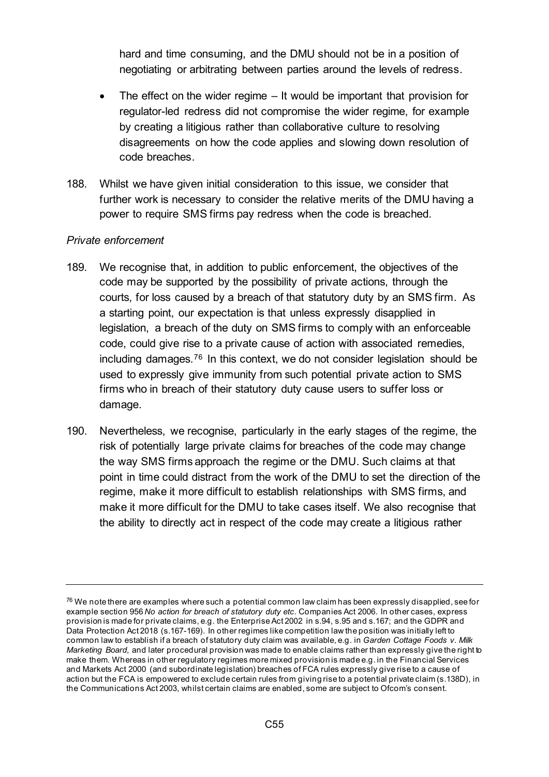hard and time consuming, and the DMU should not be in a position of negotiating or arbitrating between parties around the levels of redress.

- The effect on the wider regime  $-$  It would be important that provision for regulator-led redress did not compromise the wider regime, for example by creating a litigious rather than collaborative culture to resolving disagreements on how the code applies and slowing down resolution of code breaches.
- 188. Whilst we have given initial consideration to this issue, we consider that further work is necessary to consider the relative merits of the DMU having a power to require SMS firms pay redress when the code is breached.

#### *Private enforcement*

- 189. We recognise that, in addition to public enforcement, the objectives of the code may be supported by the possibility of private actions, through the courts, for loss caused by a breach of that statutory duty by an SMS firm. As a starting point, our expectation is that unless expressly disapplied in legislation, a breach of the duty on SMS firms to comply with an enforceable code, could give rise to a private cause of action with associated remedies, including damages.[76](#page-54-0) In this context, we do not consider legislation should be used to expressly give immunity from such potential private action to SMS firms who in breach of their statutory duty cause users to suffer loss or damage.
- 190. Nevertheless, we recognise, particularly in the early stages of the regime, the risk of potentially large private claims for breaches of the code may change the way SMS firms approach the regime or the DMU. Such claims at that point in time could distract from the work of the DMU to set the direction of the regime, make it more difficult to establish relationships with SMS firms, and make it more difficult for the DMU to take cases itself. We also recognise that the ability to directly act in respect of the code may create a litigious rather

<span id="page-54-0"></span> $^{76}$  We note there are examples where such a potential common law claim has been expressly disapplied, see for example section 956 *No action for breach of statutory duty etc.* Companies Act 2006. In other cases, express provision is made for private claims, e.g. the Enterprise Act 2002 in s.94, s.95 and s.167; and the GDPR and Data Protection Act 2018 (s.167-169). In other regimes like competition law the position was initially left to common law to establish if a breach of statutory duty claim was available, e.g. in *Garden Cottage Foods v. Milk Marketing Board*, and later procedural provision was made to enable claims rather than expressly give the right to make them. Whereas in other regulatory regimes more mixed provision is made e.g. in the Financial Services and Markets Act 2000 (and subordinate legislation) breaches of FCA rules expressly give rise to a cause of action but the FCA is empowered to exclude certain rules from giving rise to a potential private claim (s.138D), in the Communications Act 2003, whilst certain claims are enabled, some are subject to Ofcom's consent.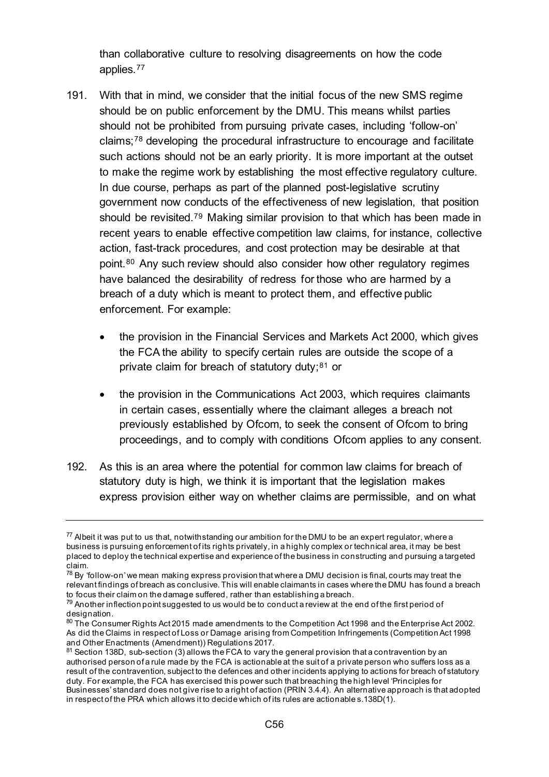than collaborative culture to resolving disagreements on how the code applies.[77](#page-55-0) 

- 191. With that in mind, we consider that the initial focus of the new SMS regime should be on public enforcement by the DMU. This means whilst parties should not be prohibited from pursuing private cases, including 'follow-on' claims;[78](#page-55-1) developing the procedural infrastructure to encourage and facilitate such actions should not be an early priority. It is more important at the outset to make the regime work by establishing the most effective regulatory culture. In due course, perhaps as part of the planned post-legislative scrutiny government now conducts of the effectiveness of new legislation, that position should be revisited.[79](#page-55-2) Making similar provision to that which has been made in recent years to enable effective competition law claims, for instance, collective action, fast-track procedures, and cost protection may be desirable at that point.[80](#page-55-3) Any such review should also consider how other regulatory regimes have balanced the desirability of redress for those who are harmed by a breach of a duty which is meant to protect them, and effective public enforcement. For example:
	- the provision in the Financial Services and Markets Act 2000, which gives the FCA the ability to specify certain rules are outside the scope of a private claim for breach of statutory duty; $81$  or
	- the provision in the Communications Act 2003, which requires claimants in certain cases, essentially where the claimant alleges a breach not previously established by Ofcom, to seek the consent of Ofcom to bring proceedings, and to comply with conditions Ofcom applies to any consent.
- 192. As this is an area where the potential for common law claims for breach of statutory duty is high, we think it is important that the legislation makes express provision either way on whether claims are permissible, and on what

<span id="page-55-0"></span> $77$  Albeit it was put to us that, notwithstanding our ambition for the DMU to be an expert regulator, where a business is pursuing enforcement of its rights privately, in a highly complex or technical area, it may be best placed to deploy the technical expertise and experience of the business in constructing and pursuing a targeted claim.

<span id="page-55-1"></span> $^{78}$  By 'follow-on' we mean making express provision that where a DMU decision is final, courts may treat the relevant findings of breach as conclusive. This will enable claimants in cases where the DMU has found a breach to focus their claim on the damage suffered, rather than establishing a breach.

<span id="page-55-2"></span> $79$  Another inflection point suggested to us would be to conduct a review at the end of the first period of designation.

<span id="page-55-3"></span><sup>80</sup> The Consumer Rights Act 2015 made amendments to the Competition Act 1998 and the Enterprise Act 2002. As did the Claims in respect of Loss or Damage arising from Competition Infringements (Competition Act 1998 and Other Enactments (Amendment)) Requisitions 2017.

<span id="page-55-4"></span> $81$  Section 138D, sub-section (3) allows the FCA to vary the general provision that a contravention by an authorised person of a rule made by the FCA is actionable at the suit of a private person who suffers loss as a result of the contravention, subject to the defences and other incidents applying to actions for breach of statutory duty. For example, the FCA has exercised this power such that breaching the high level 'Principles for Businesses' standard does not give rise to a right of action (PRIN 3.4.4). An alternative approach is that adopted in respect of the PRA which allows it to decide which of its rules are actionable s.138D(1).